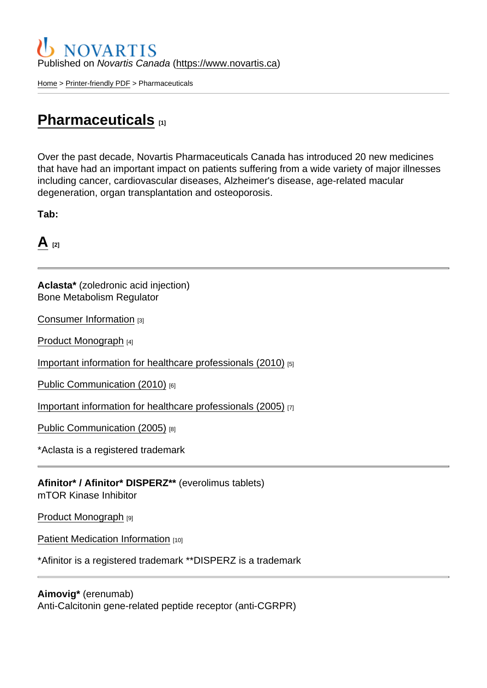#### Published on Novartis Canada [\(https://www.novartis.ca\)](https://www.novartis.ca)

[Home](https://www.novartis.ca/en) > [Printer-friendly PDF](https://www.novartis.ca/en/printpdf) > Pharmaceuticals

### [Pharmaceuticals](https://www.novartis.ca/en/our-products/pharmaceuticals) [1]

Over the past decade, Novartis Pharmaceuticals Canada has introduced 20 new medicines that have had an important impact on patients suffering from a wide variety of major illnesses including cancer, cardiovascular diseases, Alzheimer's disease, age-related macular degeneration, organ transplantation and osteoporosis.

Tab:

 $A_{[2]}$  $A_{[2]}$ 

Aclasta\* (zoledronic acid injection) Bone Metabolism Regulator

[Consumer Information](https://www.ask.novartispharma.ca/download.htm?res=aclasta_patient_e.pdf&resTitleId=97) [3]

[Product Monograph](https://www.ask.novartispharma.ca/download.htm?res=aclasta_scrip_e.pdf&resTitleId=687) [4]

[Important information for healthcare professionals \(2010\)](https://www.ask.novartispharma.ca/download.htm?res=Aclasta_HPC_E_12Oct2010.pdf&resTitleId=285) [5]

[Public Communication \(2010\)](https://www.ask.novartispharma.ca/download.htm?res=Aclasta_PC_E_14Oct2010.pdf&resTitleId=286) [6]

[Important information for healthcare professionals \(2005\)](https://www.ask.novartispharma.ca/download.htm?res=Zometa_Aclasta DHCP_E_2005_Aug.pdf&resTitleId=230) [7]

[Public Communication \(2005\)](https://www.ask.novartispharma.ca/download.htm?res=Zometa_Aclasta_PC_E_2005_Aug.pdf&resTitleId=231) [8]

\*Aclasta is a registered trademark

Afinitor\* / Afinitor\* DISPERZ\*\* (everolimus tablets) mTOR Kinase Inhibitor

[Product Monograph](https://www.ask.novartispharma.ca/download.htm?res=afinitor_scrip_e.pdf&resTitleId=705) [9]

[Patient Medication Information](https://www.ask.novartispharma.ca/download.htm?res=afinitor_patient_e.pdf&resTitleId=1791) [10]

\*Afinitor is a registered trademark \*\*DISPERZ is a trademark

Aimovig\* (erenumab) Anti-Calcitonin gene-related peptide receptor (anti-CGRPR)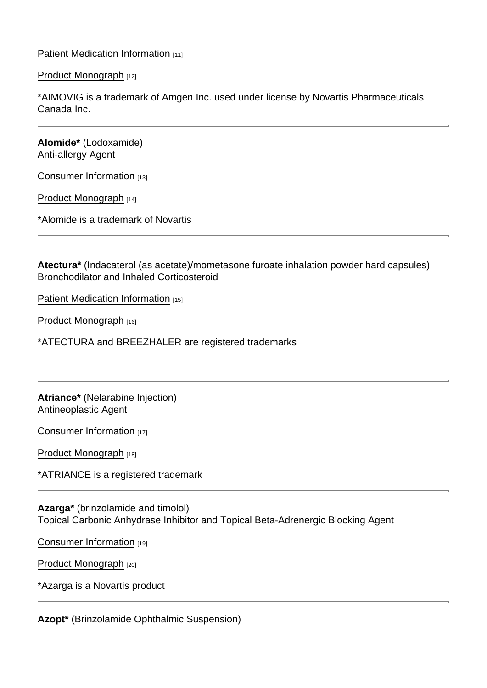[Patient Medication Information](https://www.ask.novartispharma.ca/download.htm?res=aimovig_patient_e.pdf&resTitleId=1522) [11]

[Product Monograph](https://www.ask.novartispharma.ca/download.htm?res=aimovig_scrip_e.pdf&resTitleId=1480) [12]

\*AIMOVIG is a trademark of Amgen Inc. used under license by Novartis Pharmaceuticals Canada Inc.

Alomide\* (Lodoxamide) Anti-allergy Agent

[Consumer Information](https://www.ask.novartispharma.ca/download.htm?res=alomide_patient_e.pdf&resTitleId=1309) [13]

[Product Monograph](https://www.ask.novartispharma.ca/download.htm?res=alomide_scrip_e.pdf&resTitleId=1308) [14]

\*Alomide is a trademark of Novartis

Atectura\* (Indacaterol (as acetate)/mometasone furoate inhalation powder hard capsules) Bronchodilator and Inhaled Corticosteroid

[Patient Medication Information](https://www.ask.novartispharma.ca/download.htm?res=atectura_patient_e.pdf&resTitleId=1820) [15]

[Product Monograph](https://www.ask.novartispharma.ca/download.htm?res=atectura_scrip_e.pdf&resTitleId=1821) [16]

\*ATECTURA and BREEZHALER are registered trademarks

Atriance\* (Nelarabine Injection) Antineoplastic Agent

[Consumer Information](https://www.ask.novartispharma.ca/download.htm?res=atriance_patient_e.pdf&resTitleId=1078) [17]

[Product Monograph](https://www.ask.novartispharma.ca/download.htm?res=atriance_scrip_e.pdf&resTitleId=1079) [18]

\*ATRIANCE is a registered trademark

Azarga\* (brinzolamide and timolol) Topical Carbonic Anhydrase Inhibitor and Topical Beta-Adrenergic Blocking Agent

[Consumer Information](https://www.ask.novartispharma.ca/download.htm?res=azarga_patient_e.pdf&resTitleId=1342) [19]

[Product Monograph](https://www.ask.novartispharma.ca/download.htm?res=azarga_scrip_e.pdf&resTitleId=1310) [20]

\*Azarga is a Novartis product

Azopt\* (Brinzolamide Ophthalmic Suspension)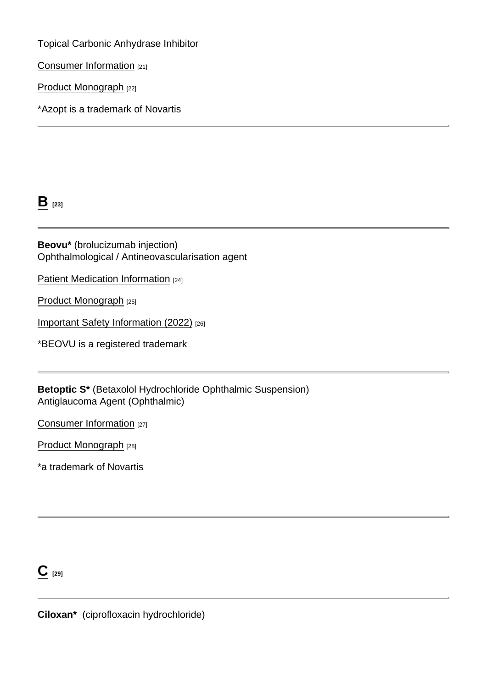Topical Carbonic Anhydrase Inhibitor

[Consumer Information](https://www.ask.novartispharma.ca/download.htm?res=azopt_patient_e.pdf&resTitleId=1350) [21]

[Product Monograph](https://www.ask.novartispharma.ca/download.htm?res=azopt_scrip_e.pdf&resTitleId=1245) [22]

\*Azopt is a trademark of Novartis

 $B_{[23]}$  $B_{[23]}$ 

Beovu\* (brolucizumab injection) Ophthalmological / Antineovascularisation agent

[Patient Medication Information](https://www.ask.novartispharma.ca/download.htm?res=beovu_patient_e.pdf&resTitleId=1649) [24]

[Product Monograph](https://www.ask.novartispharma.ca/download.htm?res=beovu_scrip_e.pdf&resTitleId=1648) [25]

[Important Safety Information \(2022\)](https://www.ask.novartispharma.ca/download.htm?res=beovu_hprc_e.pdf&resTitleId=1843) [26]

\*BEOVU is a registered trademark

Betoptic S\* (Betaxolol Hydrochloride Ophthalmic Suspension) Antiglaucoma Agent (Ophthalmic)

[Consumer Information](https://www.ask.novartispharma.ca/download.htm?res=betoptic_patient_e.pdf&resTitleId=1312) [27]

[Product Monograph](https://www.ask.novartispharma.ca/download.htm?res=betoptic_scrip_e.pdf&resTitleId=1311) [28]

\*a trademark of Novartis

 $C$  [29]

Ciloxan\* (ciprofloxacin hydrochloride)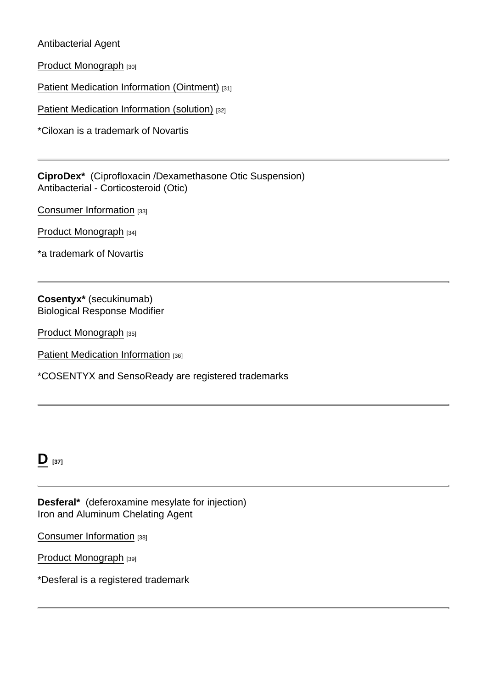Antibacterial Agent

[Product Monograph](https://www.ask.novartispharma.ca/download.htm?res=ciloxan_scrip_e.pdf&resTitleId=1313) [30]

[Patient Medication Information \(Ointment\)](https://www.novartis.ca/sites/www.novartis.ca/files/ciloxan_patient_o.pdf) [31]

[Patient Medication Information \(solution\)](https://www.novartis.ca/sites/www.novartis.ca/files/ciloxan_patient_s.pdf) [32]

\*Ciloxan is a trademark of Novartis

CiproDex\* (Ciprofloxacin /Dexamethasone Otic Suspension) Antibacterial - Corticosteroid (Otic)

[Consumer Information](https://www.ask.novartispharma.ca/download.htm?res=ciprodex_patient_e.pdf&resTitleId=1343) [33]

[Product Monograph](https://www.ask.novartispharma.ca/download.htm?res=ciprodex_scrip_e.pdf&resTitleId=1344) [34]

\*a trademark of Novartis

Cosentyx\* (secukinumab) Biological Response Modifier

[Product Monograph](https://www.ask.novartispharma.ca/download.htm?res=cosentyx_scrip_e.pdf&resTitleId=990) [35]

[Patient Medication Information](https://www.ask.novartispharma.ca/download.htm?res=cosentyx_patient_e.pdf&resTitleId=1767) [36]

\*COSENTYX and SensoReady are registered trademarks

# $D_{[37]}$  $D_{[37]}$

Desferal\* (deferoxamine mesylate for injection) Iron and Aluminum Chelating Agent

[Consumer Information](https://www.ask.novartispharma.ca/download.htm?res=desferal_patient_e.pdf&resTitleId=246) [38]

[Product Monograph](https://www.ask.novartispharma.ca/download.htm?res=desferal_scrip_e.pdf&resTitleId=736) [39]

\*Desferal is a registered trademark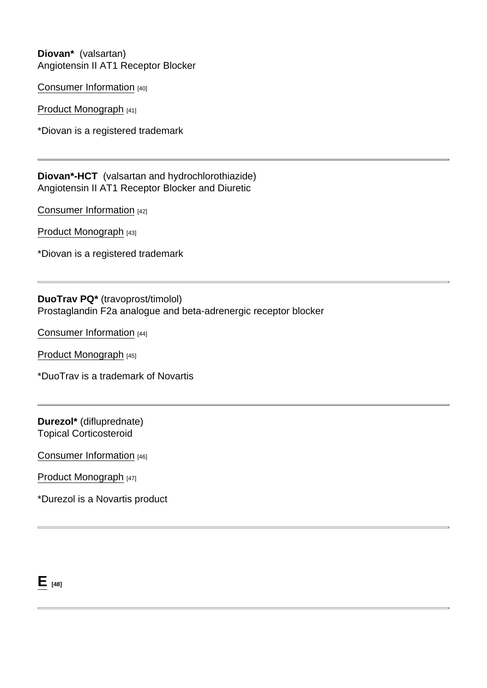Diovan\* (valsartan) Angiotensin II AT1 Receptor Blocker

[Consumer Information](https://www.ask.novartispharma.ca/download.htm?res=diovan_patient_e.pdf&resTitleId=104) [40]

[Product Monograph](https://www.ask.novartispharma.ca/download.htm?res=diovan_scrip_e.pdf&resTitleId=725) [41]

\*Diovan is a registered trademark

Diovan\*-HCT (valsartan and hydrochlorothiazide) Angiotensin II AT1 Receptor Blocker and Diuretic

[Consumer Information](https://www.novartis.ca/sites/www.novartis.ca/files/diovan hct_patient_e_0.pdf) [42]

[Product Monograph](https://www.ask.novartispharma.ca/download.htm?res=diovan hct_scrip_e.pdf&resTitleId=726) [43]

\*Diovan is a registered trademark

DuoTrav PQ\* (travoprost/timolol) Prostaglandin F2a analogue and beta-adrenergic receptor blocker

[Consumer Information](https://www.ask.novartispharma.ca/download.htm?res=duotravpq_patient_e.pdf&resTitleId=1318) [44]

[Product Monograph](https://www.ask.novartispharma.ca/download.htm?res=duotravpq_scrip_e.pdf&resTitleId=1317) [45]

\*DuoTrav is a trademark of Novartis

Durezol\* (difluprednate) Topical Corticosteroid

[Consumer Information](https://www.ask.novartispharma.ca/download.htm?res=durezol_patient_e.pdf&resTitleId=1320) [46]

[Product Monograph](https://www.ask.novartispharma.ca/download.htm?res=durezol_scrip_e.pdf&resTitleId=1319) [47]

\*Durezol is a Novartis product

 $E$  [48]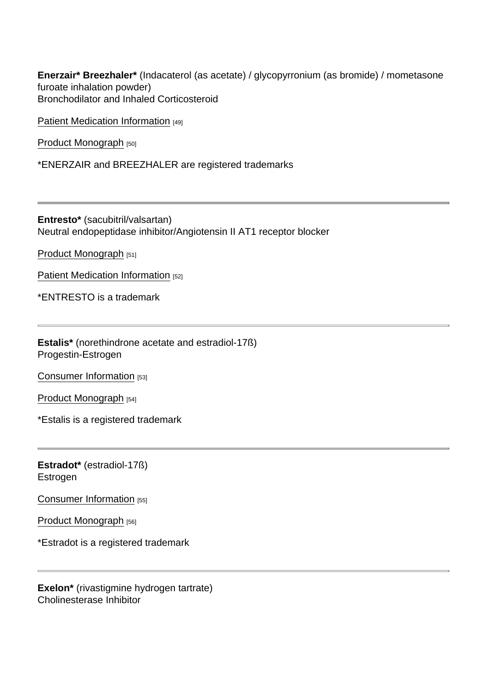Enerzair\* Breezhaler\* (Indacaterol (as acetate) / glycopyrronium (as bromide) / mometasone furoate inhalation powder) Bronchodilator and Inhaled Corticosteroid

[Patient Medication Information](https://www.novartis.ca/sites/www.novartis.ca/files/enerzair breezhaler_patient_e.pdf) [49]

[Product Monograph](https://www.novartis.ca/sites/www.novartis.ca/files/enerzair breezhaler_scrip_e.pdf) [50]

\*ENERZAIR and BREEZHALER are registered trademarks

Entresto\* (sacubitril/valsartan) Neutral endopeptidase inhibitor/Angiotensin II AT1 receptor blocker

[Product Monograph](https://www.ask.novartispharma.ca/download.htm?res=entresto_scrip_e.pdf&resTitleId=1137) [51]

[Patient Medication Information](https://www.ask.novartispharma.ca/download.htm?res=entresto_patient_e.pdf&resTitleId=1138) [52]

\*ENTRESTO is a trademark

Estalis\* (norethindrone acetate and estradiol-17ß) Progestin-Estrogen

[Consumer Information](https://www.ask.novartispharma.ca/download.htm?res=estalis_patient_e.pdf&resTitleId=112) [53]

[Product Monograph](https://www.ask.novartispharma.ca/download.htm?res=estalis_scrip_e.pdf&resTitleId=737) [54]

\*Estalis is a registered trademark

Estradot\* (estradiol-17ß) Estrogen

[Consumer Information](https://www.ask.novartispharma.ca/download.htm?res=estradot_patient_e.pdf&resTitleId=116) [55]

[Product Monograph](https://www.ask.novartispharma.ca/download.htm?res=estradot_scrip_e.pdf&resTitleId=739) [56]

\*Estradot is a registered trademark

Exelon\* (rivastigmine hydrogen tartrate) Cholinesterase Inhibitor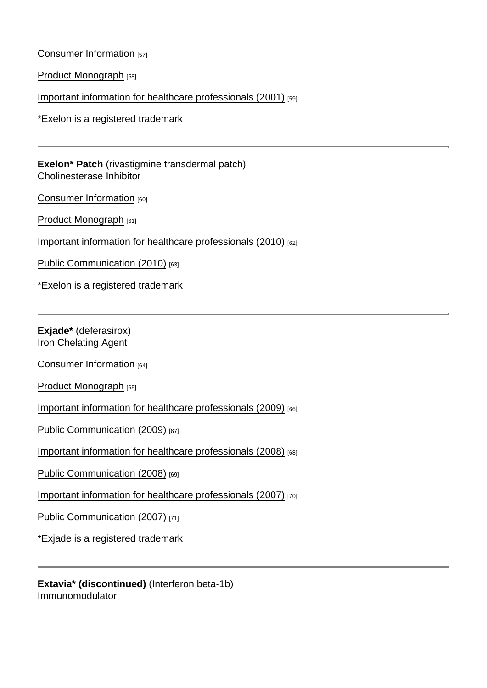[Consumer Information](https://www.ask.novartispharma.ca/download.htm?res=exelon_patient_e.pdf&resTitleId=118) [57]

[Product Monograph](https://www.ask.novartispharma.ca/download.htm?res=exelon_scrip_e.pdf&resTitleId=740) [58]

[Important information for healthcare professionals \(2001\)](https://www.ask.novartispharma.ca/download.htm?res=Exelon DHCP_E_2001_Jan.pdf&resTitleId=253) [59]

\*Exelon is a registered trademark

Exelon\* Patch (rivastigmine transdermal patch) Cholinesterase Inhibitor

[Consumer Information](https://www.ask.novartispharma.ca/download.htm?res=exelon patch_patient_e.pdf&resTitleId=120) [60]

[Product Monograph](https://www.ask.novartispharma.ca/download.htm?res=exelon patch_scrip_e.pdf&resTitleId=741) [61]

[Important information for healthcare professionals \(2010\)](https://www.ask.novartispharma.ca/download.htm?res=Exelon Patch_DHCP_E_Apr2010.pdf&resTitleId=254) [62]

[Public Communication \(2010\)](https://www.ask.novartispharma.ca/download.htm?res=Exelon Patch_PC_E_Apr2010.pdf&resTitleId=255) [63]

\*Exelon is a registered trademark

Exjade\* (deferasirox) Iron Chelating Agent

[Consumer Information](https://www.ask.novartispharma.ca/download.htm?res=exjade_patient_e.pdf&resTitleId=122) [64]

[Product Monograph](https://www.ask.novartispharma.ca/download.htm?res=exjade_scrip_e.pdf&resTitleId=689) [65]

[Important information for healthcare professionals \(2009\)](https://www.ask.novartispharma.ca/download.htm?res=Exjade DHCP_E_2009_Nov.pdf&resTitleId=256) [66]

[Public Communication \(2009\)](https://www.ask.novartispharma.ca/download.htm?res=Exjade PC_E_2009_Dec.pdf&resTitleId=257) [67]

[Important information for healthcare professionals \(2008\)](https://www.ask.novartispharma.ca/download.htm?res=Exjade DHCP_E_2008_Mar.pdf&resTitleId=258) [68]

[Public Communication \(2008\)](https://www.ask.novartispharma.ca/download.htm?res=Exjade PC_E_2008_Mar.pdf&resTitleId=259) [69]

[Important information for healthcare professionals \(2007\)](https://www.ask.novartispharma.ca/download.htm?res=Exjade DHCP_E_2007_Mar.pdf&resTitleId=260) [70]

[Public Communication \(2007\)](https://www.ask.novartispharma.ca/download.htm?res=Exjade PC_E_2007_Mar.pdf&resTitleId=261) [71]

\*Exjade is a registered trademark

Extavia\* (discontinued) (Interferon beta-1b) Immunomodulator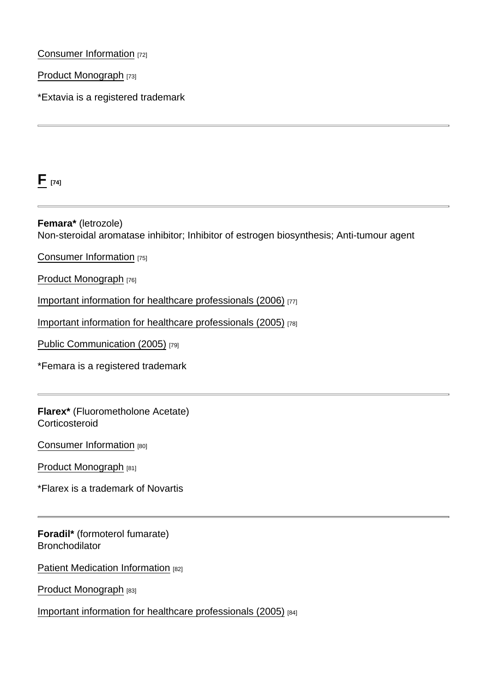#### [Consumer Information](https://www.ask.novartispharma.ca/download.htm?res=extavia_patient_e.pdf&resTitleId=235) [72]

[Product Monograph](https://www.ask.novartispharma.ca/download.htm?res=extavia_scrip_e.pdf&resTitleId=742) [73]

\*Extavia is a registered trademark

 $F_{[74]}$  $F_{[74]}$ 

Femara\* (letrozole) Non-steroidal aromatase inhibitor; Inhibitor of estrogen biosynthesis; Anti-tumour agent

[Consumer Information](https://www.ask.novartispharma.ca/download.htm?res=femara_patient_e.pdf&resTitleId=126) [75]

[Product Monograph](https://www.ask.novartispharma.ca/download.htm?res=femara_scrip_e.pdf&resTitleId=743) [76]

[Important information for healthcare professionals \(2006\)](https://www.ask.novartispharma.ca/download.htm?res=femara_hcp_e_09_2006.pdf&resTitleId=264) [77]

[Important information for healthcare professionals \(2005\)](https://www.ask.novartispharma.ca/download.htm?res=Femara_DHCP_E_2005_Nov.pdf&resTitleId=266) [78]

[Public Communication \(2005\)](https://www.ask.novartispharma.ca/download.htm?res=Femara  PC_E_2005_Nov.pdf&resTitleId=267) [79]

\*Femara is a registered trademark

Flarex\* (Fluorometholone Acetate) **Corticosteroid** 

[Consumer Information](https://www.ask.novartispharma.ca/download.htm?res=flarex_patient_e.pdf&resTitleId=1322) [80]

[Product Monograph](https://www.ask.novartispharma.ca/download.htm?res=flarex_scrip_e.pdf&resTitleId=1321) [81]

\*Flarex is a trademark of Novartis

Foradil\* (formoterol fumarate) **Bronchodilator** 

[Patient Medication Information](https://www.ask.novartispharma.ca/download.htm?res=foradil_patient_e.pdf&resTitleId=1812) [82]

[Product Monograph](https://www.ask.novartispharma.ca/download.htm?res=foradil_scrip_e.pdf&resTitleId=746) [83]

[Important information for healthcare professionals \(2005\)](https://www.ask.novartispharma.ca/download.htm?res=Foradil DHCP_E_2005_Sep.pdf&resTitleId=268) [84]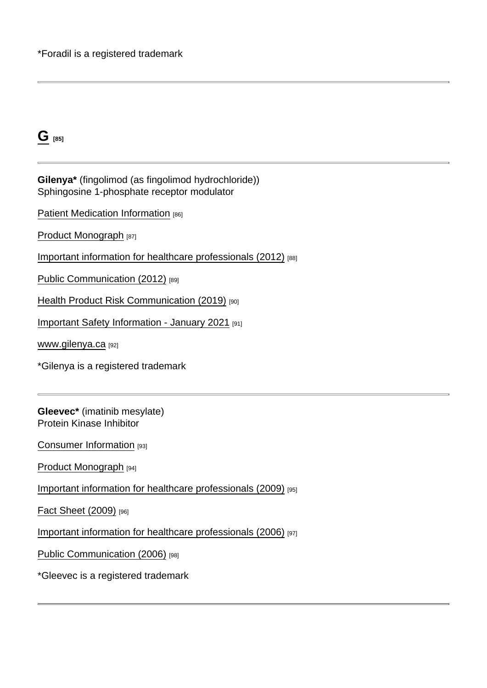| m. |  |
|----|--|
| ۰. |  |
|    |  |

Gilenya\* (fingolimod (as fingolimod hydrochloride)) Sphingosine 1-phosphate receptor modulator

[Patient Medication Information](https://www.ask.novartispharma.ca/download.htm?res=gilenya_patient_e.pdf&resTitleId=1813) [86]

[Product Monograph](https://www.ask.novartispharma.ca/download.htm?res=gilenya_scrip_e.pdf&resTitleId=747) [87]

[Important information for healthcare professionals \(2012\)](https://www.ask.novartispharma.ca/download.htm?res=Gilenya_HCP_E_21Aug2012.pdf&resTitleId=562) [88]

[Public Communication \(2012\)](https://www.ask.novartispharma.ca/download.htm?res=Gilenya_PC_E_23Aug2012.pdf&resTitleId=563) [89]

[Health Product Risk Communication \(2019\)](https://www.ask.novartispharma.ca/download.htm?res=GILENYA HPRC Health Canada_E_19Dec2019.pdf&resTitleId=1624) [90]

[Important Safety Information - January 2021](https://www.ask.novartispharma.ca/download.htm?res=gilenya_hprc_e.pdf&resTitleId=1729) [91]

[www.gilenya.ca](http://www.gilenya.ca/) [92]

\*Gilenya is a registered trademark

Gleevec\* (imatinib mesylate) Protein Kinase Inhibitor

[Consumer Information](https://www.ask.novartispharma.ca/download.htm?res=gleevec_patient_e.pdf&resTitleId=174) [93]

[Product Monograph](https://www.ask.novartispharma.ca/download.htm?res=gleevec_scrip_e.pdf&resTitleId=693) [94]

[Important information for healthcare professionals \(2009\)](https://www.ask.novartispharma.ca/download.htm?res=Gleevec_DHCP_E_2009_Dec.pdf&resTitleId=269) [95]

[Fact Sheet \(2009\)](https://www.ask.novartispharma.ca/download.htm?res=GLEEVEC_FactSheet_E_2009.pdf&resTitleId=270) [96]

[Important information for healthcare professionals \(2006\)](https://www.ask.novartispharma.ca/download.htm?res=Gleevec DHCP_E_2006_Sep21.pdf&resTitleId=271) [97]

[Public Communication \(2006\)](https://www.ask.novartispharma.ca/download.htm?res=Gleevec_PC_E_2006_Sep.pdf&resTitleId=272) [98]

\*Gleevec is a registered trademark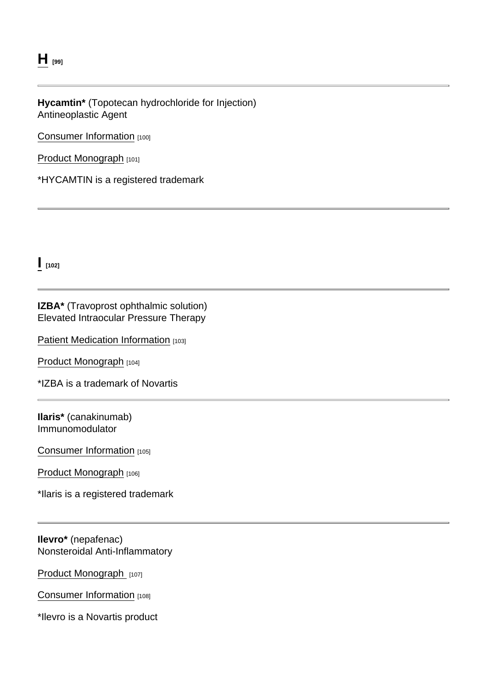### $H$  [99]

#### Hycamtin\* (Topotecan hydrochloride for Injection) Antineoplastic Agent

[Consumer Information](https://www.ask.novartispharma.ca/download.htm?res=hycamtin_patient_e.pdf&resTitleId=1082) [100]

[Product Monograph](https://www.ask.novartispharma.ca/download.htm?res=hycamtin_scrip_e.pdf&resTitleId=1083) [101]

\*HYCAMTIN is a registered trademark

 $\frac{1}{102}$ 

#### IZBA\* (Travoprost ophthalmic solution) Elevated Intraocular Pressure Therapy

[Patient Medication Information](https://ask.novartispharma.ca/download.htm?res=izba_patient_e.pdf&resTitleId=1279) [103]

[Product Monograph](https://ask.novartispharma.ca/download.htm?res=izba_scrip_e.pdf&resTitleId=1278) [104]

\*IZBA is a trademark of Novartis

Ilaris\* (canakinumab) Immunomodulator

[Consumer Information](https://www.ask.novartispharma.ca/download.htm?res=ilaris_patient_e.pdf&resTitleId=234) [105]

[Product Monograph](https://www.ask.novartispharma.ca/download.htm?res=ilaris_scrip_e.pdf&resTitleId=785) [106]

\*Ilaris is a registered trademark

Ilevro\* (nepafenac) Nonsteroidal Anti-Inflammatory

[Product Monograph](https://www.ask.novartispharma.ca/download.htm?res=ilevro_scrip_e.pdf&resTitleId=1323) [107]

[Consumer Information](https://www.ask.novartispharma.ca/download.htm?res=ilevro_patient_e.pdf&resTitleId=1324) [108]

\*Ilevro is a Novartis product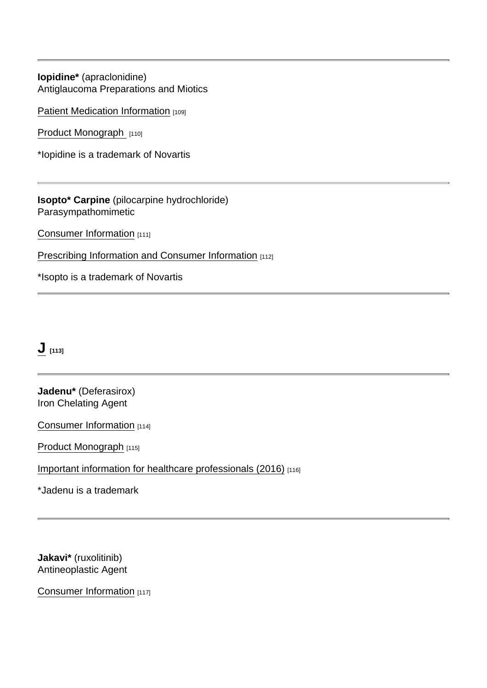Iopidine\* (apraclonidine) Antiglaucoma Preparations and Miotics

[Patient Medication Information](https://www.ask.novartispharma.ca/download.htm?res=iopidine_patient_e.pdf&resTitleId=1428) [109]

[Product Monograph](https://www.ask.novartispharma.ca/download.htm?res=iopidine_scrip_e.pdf&resTitleId=1430) [110]

\*Iopidine is a trademark of Novartis

Isopto \* Carpine (pilocarpine hydrochloride) Parasympathomimetic

[Consumer Information](https://www.ask.novartispharma.ca/download.htm?res=isopto carpine_patient_e.pdf&resTitleId=1353) [111]

[Prescribing Information and Consumer Information](https://www.ask.novartispharma.ca/download.htm?res=isopto carpine_scrip_e.pdf&resTitleId=1325) [112]

\*Isopto is a trademark of Novartis

# $J$  [113]

Jadenu\* (Deferasirox) Iron Chelating Agent

[Consumer Information](https://www.ask.novartispharma.ca/download.htm?res=jadenu_patient_e.pdf&resTitleId=1184) [114]

[Product Monograph](https://www.ask.novartispharma.ca/download.htm?res=jadenu_scrip_e.pdf&resTitleId=1183) [115]

[Important information for healthcare professionals \(2016\)](https://www.ask.novartispharma.ca/download.htm?res=jadenu_dhcp_2016_e.pdf&resTitleId=1185) [116]

\*Jadenu is a trademark

Jakavi\* (ruxolitinib) Antineoplastic Agent

[Consumer Information](https://www.ask.novartispharma.ca/download.htm?res=jakavi_patient_e.pdf&resTitleId=524) [117]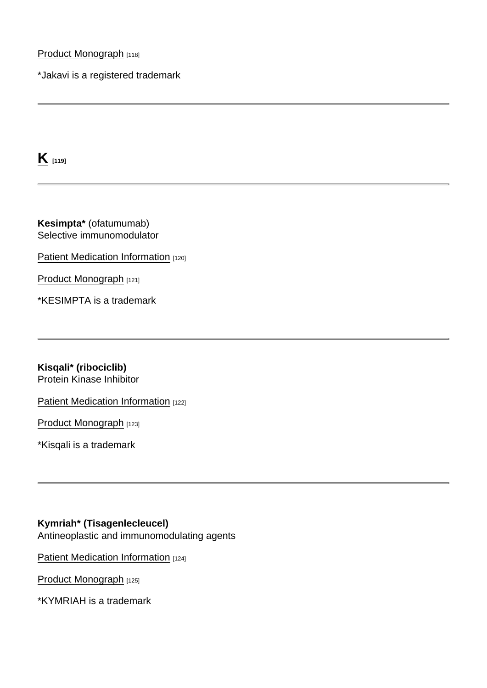[Product Monograph](https://www.ask.novartispharma.ca/download.htm?res=jakavi_scrip_e.pdf&resTitleId=788) [118]

\*Jakavi is a registered trademark

 $K_{[119]}$  $K_{[119]}$ 

Kesimpta\* (ofatumumab) Selective immunomodulator

[Patient Medication Information](https://www.ask.novartispharma.ca/download.htm?res=kesimpta_patient_e.pdf&resTitleId=1735) [120]

[Product Monograph](https://www.ask.novartispharma.ca/download.htm?res=kesimpta_scrip_e.pdf&resTitleId=1734) [121]

\*KESIMPTA is a trademark

Kisqali\* (ribociclib) Protein Kinase Inhibitor

[Patient Medication Information](https://www.ask.novartispharma.ca/download.htm?res=kisqali_patient_e.pdf&resTitleId=1438) [122]

[Product Monograph](https://www.ask.novartispharma.ca/download.htm?res=kisqali_scrip_e.pdf&resTitleId=1439) [123]

\*Kisqali is a trademark

Kymriah\* (Tisagenlecleucel) Antineoplastic and immunomodulating agents

[Patient Medication Information](https://www.ask.novartispharma.ca/download.htm?res=kymriah_patient_e.pdf&resTitleId=1521) [124]

[Product Monograph](https://www.ask.novartispharma.ca/download.htm?res=kymriah_scrip_e.pdf&resTitleId=1520) [125]

\*KYMRIAH is a trademark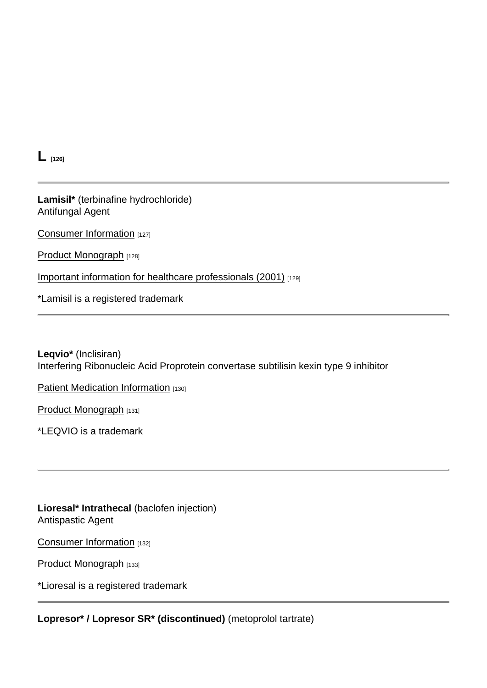$L_{[126]}$  $L_{[126]}$ 

Lamisil\* (terbinafine hydrochloride) Antifungal Agent

[Consumer Information](https://www.ask.novartispharma.ca/download.htm?res=lamisil_patient_e.pdf&resTitleId=137) [127]

[Product Monograph](https://www.ask.novartispharma.ca/download.htm?res=lamisil_scrip_e.pdf&resTitleId=728) [128]

[Important information for healthcare professionals \(2001\)](https://www.ask.novartispharma.ca/download.htm?res=Lamisil DHCP_E_2001_May.pdf&resTitleId=273) [129]

\*Lamisil is a registered trademark

Leqvio\* (Inclisiran) Interfering Ribonucleic Acid Proprotein convertase subtilisin kexin type 9 inhibitor

[Patient Medication Information](https://www.ask.novartispharma.ca/download.htm?res=leqvio_patient_e.pdf&resTitleId=1817) [130]

[Product Monograph](https://www.ask.novartispharma.ca/download.htm?res=leqvio_scrip_e.pdf&resTitleId=1816) [131]

\*LEQVIO is a trademark

Lioresal\* Intrathecal (baclofen injection) Antispastic Agent

[Consumer Information](https://www.ask.novartispharma.ca/download.htm?res=lioresalIT_patient_e.pdf&resTitleId=145) [132]

[Product Monograph](https://www.ask.novartispharma.ca/download.htm?res=lioresalIT_scrip_e.pdf&resTitleId=803) [133]

\*Lioresal is a registered trademark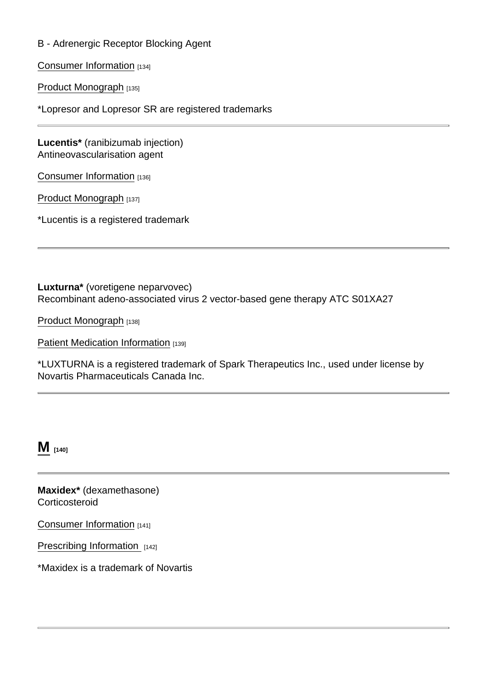#### B - Adrenergic Receptor Blocking Agent

[Consumer Information](https://www.ask.novartispharma.ca/download.htm?res=lopresor_patient_e.pdf&resTitleId=148) [134]

[Product Monograph](https://www.ask.novartispharma.ca/download.htm?res=lopresor_scrip_e.pdf&resTitleId=804) [135]

\*Lopresor and Lopresor SR are registered trademarks

Lucentis\* (ranibizumab injection) Antineovascularisation agent

[Consumer Information](https://www.ask.novartispharma.ca/download.htm?res=lucentis_patient_e.pdf&resTitleId=152) [136]

[Product Monograph](https://www.ask.novartispharma.ca/download.htm?res=lucentis_scrip_e.pdf&resTitleId=795) [137]

\*Lucentis is a registered trademark

Luxturna\* (voretigene neparvovec) Recombinant adeno-associated virus 2 vector-based gene therapy ATC S01XA27

[Product Monograph](https://www.ask.novartispharma.ca/download.htm?res=luxturna_scrip_e.pdf&resTitleId=1710) [138]

[Patient Medication Information](https://www.ask.novartispharma.ca/download.htm?res=luxturna_patient_e.pdf&resTitleId=1709) [139]

\*LUXTURNA is a registered trademark of Spark Therapeutics Inc., used under license by Novartis Pharmaceuticals Canada Inc.

 $M$  [140]

Maxidex\* (dexamethasone) **Corticosteroid** 

[Consumer Information](https://www.ask.novartispharma.ca/download.htm?res=maxidex_patient_e.pdf&resTitleId=1356) [141]

[Prescribing Information](https://www.ask.novartispharma.ca/download.htm?res=maxidex_scrip_e.pdf&resTitleId=1258) [142]

\*Maxidex is a trademark of Novartis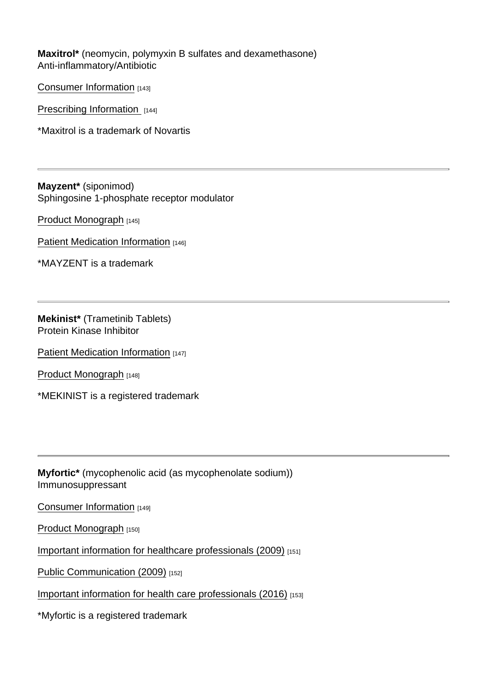Maxitrol\* (neomycin, polymyxin B sulfates and dexamethasone) Anti-inflammatory/Antibiotic

[Consumer Information](https://www.ask.novartispharma.ca/download.htm?res=maxitrol_patient_e.pdf&resTitleId=1357) [143]

[Prescribing Information](https://www.ask.novartispharma.ca/download.htm?res=maxitrol_scrip_e.pdf&resTitleId=1260) [144]

\*Maxitrol is a trademark of Novartis

Mayzent\* (siponimod) Sphingosine 1-phosphate receptor modulator

[Product Monograph](https://www.ask.novartispharma.ca/download.htm?res=mayzent_scrip_e.pdf&resTitleId=1645) [145]

[Patient Medication Information](https://www.ask.novartispharma.ca/download.htm?res=mayzent_patient_e.pdf&resTitleId=1644) [146]

\*MAYZENT is a trademark

Mekinist\* (Trametinib Tablets) Protein Kinase Inhibitor

[Patient Medication Information](https://www.ask.novartispharma.ca/download.htm?res=mekinist_patient_e.pdf&resTitleId=1788) [147]

[Product Monograph](https://www.ask.novartispharma.ca/download.htm?res=mekinist_scrip_e.pdf&resTitleId=1087) [148]

\*MEKINIST is a registered trademark

Myfortic\* (mycophenolic acid (as mycophenolate sodium)) Immunosuppressant

[Consumer Information](https://www.ask.novartispharma.ca/download.htm?res=myfortic_patient_e.pdf&resTitleId=158) [149]

[Product Monograph](https://www.ask.novartispharma.ca/download.htm?res=myfortic_scrip_e.pdf&resTitleId=805) [150]

[Important information for healthcare professionals \(2009\)](https://www.ask.novartispharma.ca/download.htm?res=Myfortic DHCP_E_2009_Dec21.pdf&resTitleId=274) [151]

[Public Communication \(2009\)](https://www.ask.novartispharma.ca/download.htm?res=Myfortic PC_E_2009_Dec23.pdf&resTitleId=275) [152]

[Important information for health care professionals \(2016\)](https://www.ask.novartispharma.ca/download.htm?res=Myfortic DHCP_E_2016_Jan18.pdf&resTitleId=1162) [153]

\*Myfortic is a registered trademark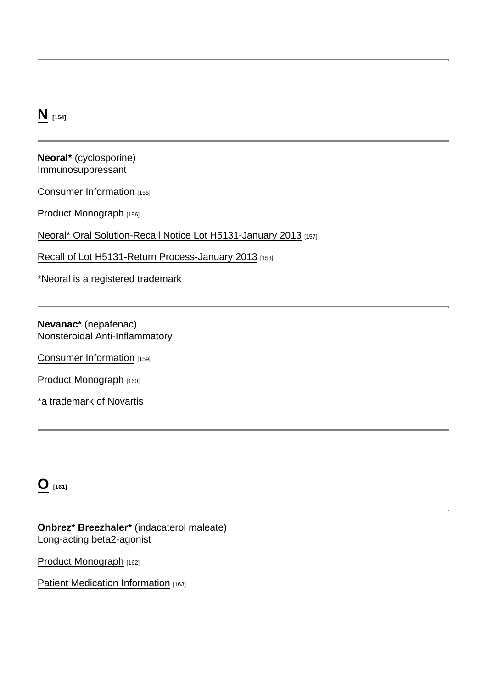### [N](https://www.novartis.ca/nos-produits/pharmaceutique#tab-14) [154]

Neoral\* (cyclosporine) Immunosuppressant

[Consumer Information](https://www.ask.novartispharma.ca/download.htm?res=neoral_patient_e.pdf&resTitleId=160) [155]

[Product Monograph](https://www.ask.novartispharma.ca/download.htm?res=neoral_scrip_e.pdf&resTitleId=691) [156]

[Neoral\\* Oral Solution-Recall Notice Lot H5131-January 2013](https://www.ask.novartispharma.ca/download.htm?res=NEORAL Recall Notice-E-08JA2013.pdf&resTitleId=625) [157]

[Recall of Lot H5131-Return Process-January 2013](https://www.ask.novartispharma.ca/download.htm?res=Neoral Recall-Return Process-E-08JA2013.pdf&resTitleId=645) [158]

\*Neoral is a registered trademark

Nevanac\* (nepafenac) Nonsteroidal Anti-Inflammatory

[Consumer Information](https://www.ask.novartispharma.ca/download.htm?res=nevanac_patient_e.pdf&resTitleId=1328) [159]

[Product Monograph](https://www.ask.novartispharma.ca/download.htm?res=nevanac_scrip_e.pdf&resTitleId=1327) [160]

\*a trademark of Novartis

 $O$  [161]

Onbrez\* Breezhaler\* (indacaterol maleate) Long-acting beta2-agonist

[Product Monograph](https://www.ask.novartispharma.ca/download.htm?res=onbrez breezhaler_scrip_e.pdf&resTitleId=796) [162]

[Patient Medication Information](https://www.ask.novartispharma.ca/download.htm?res=onbrez breezhaler_patient_e.pdf&resTitleId=1787) [163]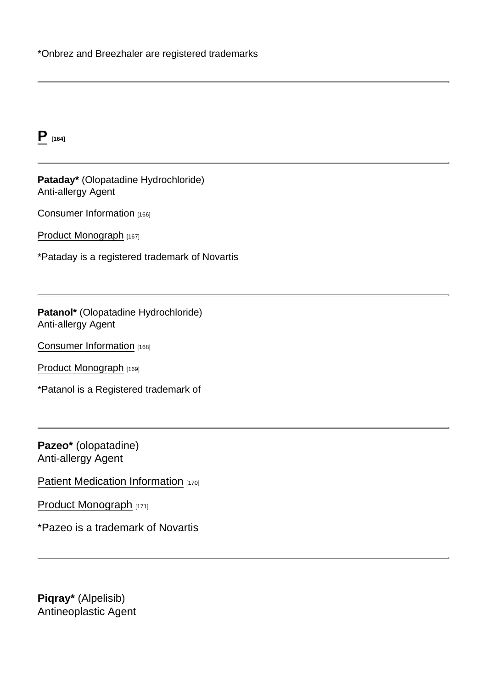$P_{[164]}$  $P_{[164]}$ 

Pataday\* (Olopatadine Hydrochloride) Anti-allergy Agent

[Consumer Information](https://www.ask.novartispharma.ca/download.htm?res=pataday_patient_e.pdf&resTitleId=1330) [166]

[Product Monograph](https://www.ask.novartispharma.ca/download.htm?res=pataday_scrip_e.pdf&resTitleId=1331) [167]

\*Pataday is a registered trademark of Novartis

Patanol\* (Olopatadine Hydrochloride) Anti-allergy Agent

[Consumer Information](https://www.ask.novartispharma.ca/download.htm?res=patanol_patient_e.pdf&resTitleId=1333) [168]

[Product Monograph](https://www.ask.novartispharma.ca/download.htm?res=patanol_scrip_e.pdf&resTitleId=1332) [169]

\*Patanol is a Registered trademark of

Pazeo\* (olopatadine) Anti-allergy Agent

[Patient Medication Information](https://www.ask.novartispharma.ca/download.htm?res=pazeo_patient_e.pdf&resTitleId=1435) [170]

[Product Monograph](https://www.ask.novartispharma.ca/download.htm?res=pazeo_scrip_e.pdf&resTitleId=1434) [171]

\*Pazeo is a trademark of Novartis

Piqray\* (Alpelisib) Antineoplastic Agent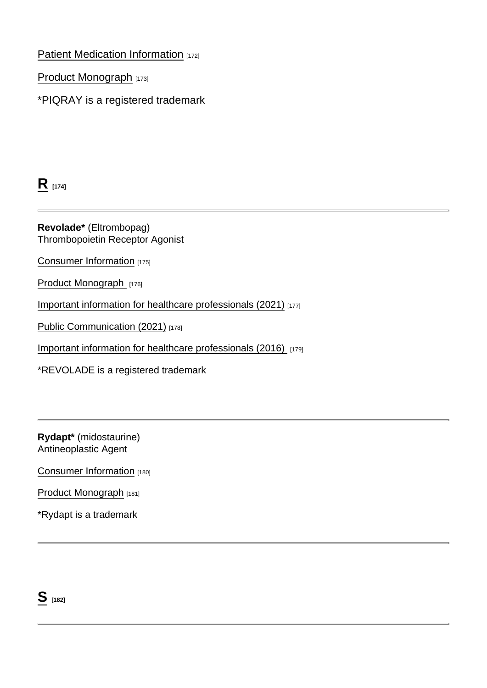### [Patient Medication Information](https://www.ask.novartispharma.ca/download.htm?res=piqray_patient_e.pdf&resTitleId=1653) [172]

[Product Monograph](https://www.ask.novartispharma.ca/download.htm?res=piqray_scrip_e.pdf&resTitleId=1652) [173]

\*PIQRAY is a registered trademark

 $R_{[174]}$  $R_{[174]}$ 

Revolade\* (Eltrombopag) Thrombopoietin Receptor Agonist

[Consumer Information](https://www.ask.novartispharma.ca/download.htm?res=revolade_patient_e.pdf&resTitleId=1091) [175]

[Product Monograph](https://www.ask.novartispharma.ca/download.htm?res=revolade_scrip_e.pdf&resTitleId=1090) [176]

[Important information for healthcare professionals \(2021\)](https://www.ask.novartispharma.ca/download.htm?res=revolade_dhcp_e_2021.pdf&resTitleId=1841) [177]

[Public Communication \(2021\)](https://www.ask.novartispharma.ca/download.htm?res=revolade_pc_e_2021.pdf&resTitleId=1839) [178]

[Important information for healthcare professionals \(2016\)](https://www.ask.novartispharma.ca/download.htm?res=revolade_dhpc_e_aug2016.pdf&resTitleId=1241) [179]

\*REVOLADE is a registered trademark

Rydapt\* (midostaurine) Antineoplastic Agent

[Consumer Information](https://ask.novartispharma.ca/download.htm?res=rydapt_patient_e.pdf&resTitleId=1392) [180]

[Product Monograph](https://ask.novartispharma.ca/download.htm?res=rydapt_scrip_e.pdf&resTitleId=1393) [181]

\*Rydapt is a trademark

 $S$  [182]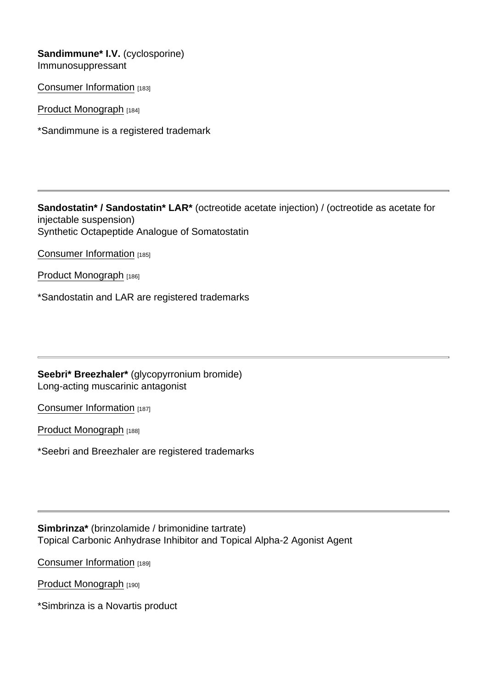Sandimmune\* I.V. (cyclosporine) Immunosuppressant

[Consumer Information](https://www.ask.novartispharma.ca/download.htm?res=sandimmune_patient_e.pdf&resTitleId=170) [183]

[Product Monograph](https://www.ask.novartispharma.ca/download.htm?res=sandimmune_scrip_e.pdf&resTitleId=692) [184]

\*Sandimmune is a registered trademark

Sandostatin\* / Sandostatin\* LAR\* (octreotide acetate injection) / (octreotide as acetate for injectable suspension) Synthetic Octapeptide Analogue of Somatostatin

[Consumer Information](https://www.ask.novartispharma.ca/download.htm?res=sandostatin_patient_e.pdf&resTitleId=1790) [185]

[Product Monograph](https://www.ask.novartispharma.ca/download.htm?res=sandostatin_scrip_e.pdf&resTitleId=789) [186]

\*Sandostatin and LAR are registered trademarks

Seebri\* Breezhaler\* (glycopyrronium bromide) Long-acting muscarinic antagonist

[Consumer Information](https://www.ask.novartispharma.ca/download.htm?res=seebri breezhaler_patient_e.pdf&resTitleId=667) [187]

[Product Monograph](https://www.ask.novartispharma.ca/download.htm?res=seebri breezhaler_scrip_e.pdf&resTitleId=797) [188]

\*Seebri and Breezhaler are registered trademarks

Simbrinza\* (brinzolamide / brimonidine tartrate) Topical Carbonic Anhydrase Inhibitor and Topical Alpha-2 Agonist Agent

[Consumer Information](https://www.ask.novartispharma.ca/download.htm?res=simbrinza_patient_e.pdf&resTitleId=1335) [189]

[Product Monograph](https://www.ask.novartispharma.ca/download.htm?res=simbrinza_scrip_e.pdf&resTitleId=1334) [190]

\*Simbrinza is a Novartis product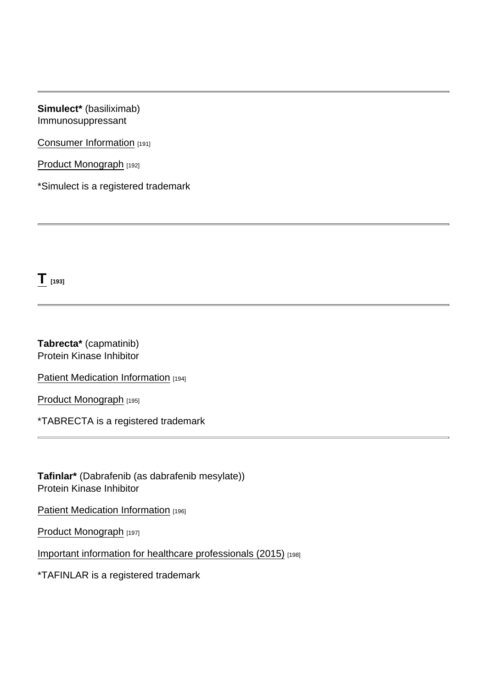Simulect\* (basiliximab) Immunosuppressant

[Consumer Information](https://www.ask.novartispharma.ca/download.htm?res=simulect_patient_e.pdf&resTitleId=362) [191]

[Product Monograph](https://www.ask.novartispharma.ca/download.htm?res=simulect_scrip_e.pdf&resTitleId=809) [192]

\*Simulect is a registered trademark

 $T_{[193]}$  $T_{[193]}$ 

Tabrecta\* (capmatinib) Protein Kinase Inhibitor

[Patient Medication Information](https://www.ask.novartispharma.ca/download.htm?res=tabrecta_patient_e.pdf&resTitleId=1867) [194]

[Product Monograph](https://www.ask.novartispharma.ca/download.htm?res=tabrecta_scrip_e.pdf&resTitleId=1866) [195]

\*TABRECTA is a registered trademark

Tafinlar\* (Dabrafenib (as dabrafenib mesylate)) Protein Kinase Inhibitor

[Patient Medication Information](https://www.ask.novartispharma.ca/download.htm?res=tafinlar_patient_e.pdf&resTitleId=1789) [196]

[Product Monograph](https://www.ask.novartispharma.ca/download.htm?res=tafinlar_scrip_e.pdf&resTitleId=1095) [197]

[Important information for healthcare professionals \(2015\)](https://www.ask.novartispharma.ca/download.htm?res=tafinlar_dhcp_mar2015_e.pdf&resTitleId=1096) [198]

\*TAFINLAR is a registered trademark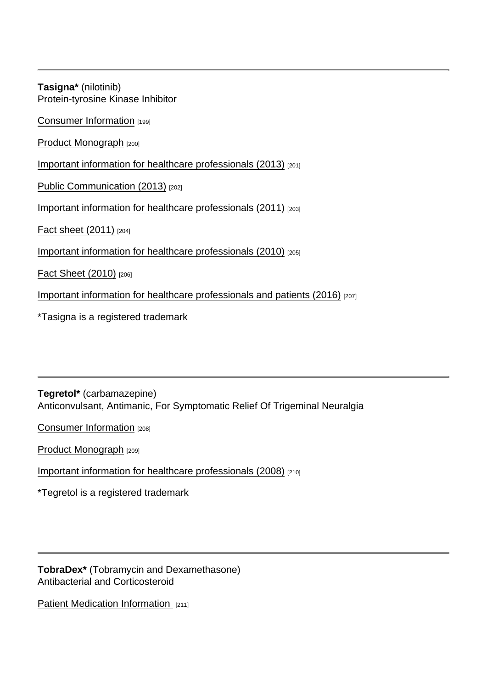Tasigna\* (nilotinib) Protein-tyrosine Kinase Inhibitor [Consumer Information](https://www.ask.novartispharma.ca/download.htm?res=tasigna_patient_e.pdf&resTitleId=186) [199] [Product Monograph](https://www.ask.novartispharma.ca/download.htm?res=tasigna_scrip_e.pdf&resTitleId=766) [200] [Important information for healthcare professionals \(2013\)](https://www.ask.novartispharma.ca/download.htm?res=Tasigna_DHCPL_E_April2013.pdf&resTitleId=707) [201] [Public Communication \(2013\)](https://www.ask.novartispharma.ca/download.htm?res=Tasigna_PC_E_April2013.pdf&resTitleId=706) [202] [Important information for healthcare professionals \(2011\)](https://www.ask.novartispharma.ca/download.htm?res=Tasigna_DHCPL_E_June 9 2011.pdf&resTitleId=338) [203] [Fact sheet \(2011\)](https://www.ask.novartispharma.ca/download.htm?res=Tasigna_Fact Sheet_E_June 9  2011.pdf&resTitleId=339) [204] [Important information for healthcare professionals \(2010\)](https://www.ask.novartispharma.ca/download.htm?res=Tasigna_DHCPL_E_July2010.pdf&resTitleId=278) [205] [Fact Sheet \(2010\)](https://www.ask.novartispharma.ca/download.htm?res=Tasigna_Fact Sheet_E_July2010.pdf&resTitleId=279) [206] [Important information for healthcare professionals and patients \(2016\)](https://www.novartis.ca/sites/www.novartis.ca/files/hprc_tkis_final_e.pdf) [207]

\*Tasigna is a registered trademark

Tegretol\* (carbamazepine) Anticonvulsant, Antimanic, For Symptomatic Relief Of Trigeminal Neuralgia

[Consumer Information](https://www.ask.novartispharma.ca/download.htm?res=tegretol_patient_e.pdf&resTitleId=189) [208]

[Product Monograph](https://www.ask.novartispharma.ca/download.htm?res=tegretol_scrip_e.pdf&resTitleId=813) [209]

[Important information for healthcare professionals \(2008\)](https://www.ask.novartispharma.ca/download.htm?res=Tegretol DHCP_E_2008_Mar.pdf&resTitleId=280) [210]

\*Tegretol is a registered trademark

TobraDex\* (Tobramycin and Dexamethasone) Antibacterial and Corticosteroid

[Patient Medication Information](https://www.ask.novartispharma.ca/download.htm?res=tobradex_patient_e.pdf&resTitleId=1361) [211]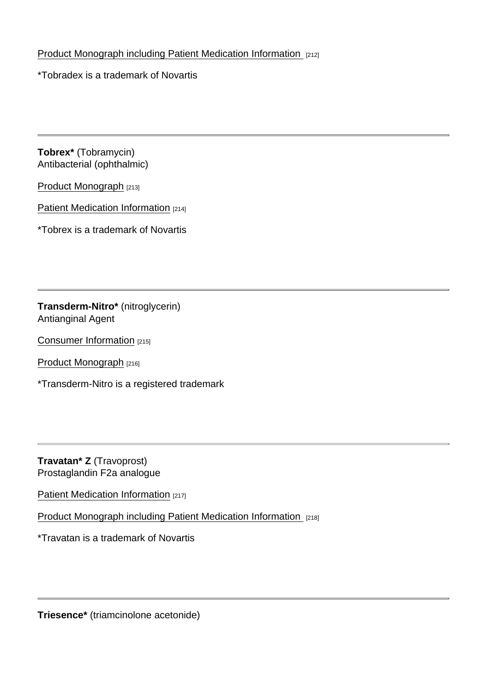#### [Product Monograph including Patient Medication Information](https://www.ask.novartispharma.ca/download.htm?res=tobradex_scrip_e.pdf&resTitleId=1363) [212]

\*Tobradex is a trademark of Novartis

Tobrex\* (Tobramycin) Antibacterial (ophthalmic)

[Product Monograph](https://www.ask.novartispharma.ca/download.htm?res=tobrex_scrip_e.pdf&resTitleId=1394) [213]

[Patient Medication Information](https://ask.novartispharma.ca/download.htm?res=tobrex_patient_e.pdf&resTitleId=1410) [214]

\*Tobrex is a trademark of Novartis

Transderm-Nitro\* (nitroglycerin) Antianginal Agent

[Consumer Information](https://www.ask.novartispharma.ca/download.htm?res=transderm-nitro_patient_e.pdf&resTitleId=195) [215]

[Product Monograph](https://www.ask.novartispharma.ca/download.htm?res=transderm-nitro_scrip_e.pdf&resTitleId=814) [216]

\*Transderm-Nitro is a registered trademark

Travatan \* Z (Travoprost) Prostaglandin F2a analogue

[Patient Medication Information](https://www.ask.novartispharma.ca/download.htm?res=travatan-z_patient_e.pdf&resTitleId=1347) [217]

[Product Monograph including Patient Medication Information](https://www.ask.novartispharma.ca/download.htm?res=travatan-z_scrip_e.pdf&resTitleId=1337) [218]

\*Travatan is a trademark of Novartis

Triesence\* (triamcinolone acetonide)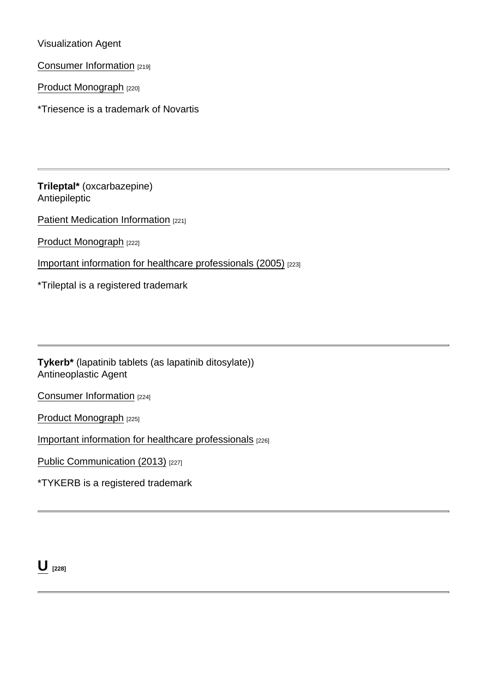Visualization Agent

[Consumer Information](https://www.ask.novartispharma.ca/download.htm?res=triesence_patient_e.pdf&resTitleId=1362) [219]

[Product Monograph](https://www.ask.novartispharma.ca/download.htm?res=triesence_scrip_e.pdf&resTitleId=1338) [220]

\*Triesence is a trademark of Novartis

Trileptal\* (oxcarbazepine) Antiepileptic

[Patient Medication Information](https://www.ask.novartispharma.ca/download.htm?res=trileptal_patient_e.pdf&resTitleId=1792) [221]

[Product Monograph](https://www.ask.novartispharma.ca/download.htm?res=trileptal_scrip_e.pdf&resTitleId=787) [222]

[Important information for healthcare professionals \(2005\)](https://www.ask.novartispharma.ca/download.htm?res=Trileptal_DHLP_E_2005_Apr.pdf&resTitleId=281) [223]

\*Trileptal is a registered trademark

Tykerb\* (lapatinib tablets (as lapatinib ditosylate)) Antineoplastic Agent

[Consumer Information](https://www.ask.novartispharma.ca/download.htm?res=tykerb_patient_e.pdf&resTitleId=1107) [224]

[Product Monograph](https://www.ask.novartispharma.ca/download.htm?res=tykerb_scrip_e.pdf&resTitleId=1110) [225]

[Important information for healthcare professionals](https://www.ask.novartispharma.ca/download.htm?res=tykerb_dhcp_mar2013_e.pdf&resTitleId=1108) [226]

[Public Communication \(2013\)](https://www.ask.novartispharma.ca/download.htm?res=tykerb_pc_mar2013_e.pdf&resTitleId=1109) [227]

\*TYKERB is a registered trademark

 $\bigcup$  [228]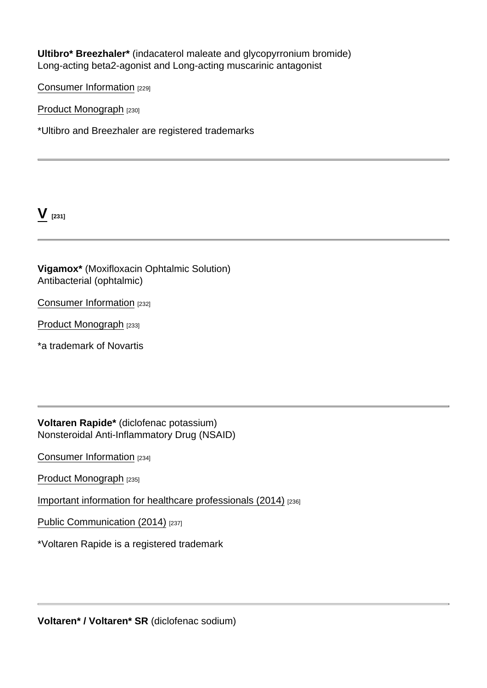Ultibro\* Breezhaler\* (indacaterol maleate and glycopyrronium bromide) Long-acting beta2-agonist and Long-acting muscarinic antagonist

[Consumer Information](https://www.ask.novartispharma.ca/download.htm?res=ultibro breezhaler_patient_e.pdf&resTitleId=909) [229]

[Product Monograph](https://www.ask.novartispharma.ca/download.htm?res=ultibro breezhaler_scrip_e.pdf&resTitleId=910) [230]

\*Ultibro and Breezhaler are registered trademarks

 $V$  [231]

Vigamox\* (Moxifloxacin Ophtalmic Solution) Antibacterial (ophtalmic)

[Consumer Information](https://www.ask.novartispharma.ca/download.htm?res=vigamox_patient_e.pdf&resTitleId=1340) [232]

[Product Monograph](https://www.ask.novartispharma.ca/download.htm?res=vigamox_scrip_e.pdf&resTitleId=1339) [233]

\*a trademark of Novartis

Voltaren Rapide\* (diclofenac potassium) Nonsteroidal Anti-Inflammatory Drug (NSAID)

[Consumer Information](https://www.ask.novartispharma.ca/download.htm?res=voltaren rapide_patient_e.pdf&resTitleId=213) [234]

[Product Monograph](https://www.ask.novartispharma.ca/download.htm?res=voltaren rapide_scrip_e.pdf&resTitleId=817) [235]

[Important information for healthcare professionals \(2014\)](https://www.ask.novartispharma.ca/download.htm?res=Voltaren Voltaren SR Voltaren Rapide_HPC_E_06Oct2014.pdf&resTitleId=968) [236]

[Public Communication \(2014\)](https://www.ask.novartispharma.ca/download.htm?res=Voltaren Voltaren SR Voltaren Rapide_PC_E_06Oct2014.pdf&resTitleId=970) [237]

\*Voltaren Rapide is a registered trademark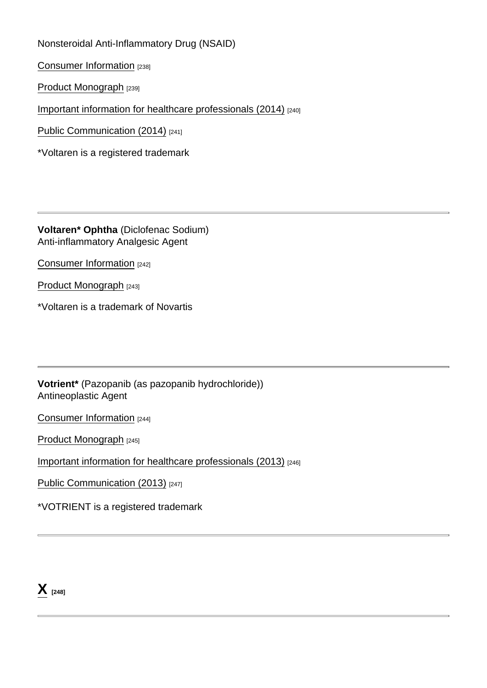Nonsteroidal Anti-Inflammatory Drug (NSAID)

[Consumer Information](https://www.ask.novartispharma.ca/download.htm?res=voltaren_patient_e.pdf&resTitleId=215) [238]

[Product Monograph](https://www.ask.novartispharma.ca/download.htm?res=voltaren_scrip_e.pdf&resTitleId=818) [239]

[Important information for healthcare professionals \(2014\)](https://www.ask.novartispharma.ca/download.htm?res=Voltaren Voltaren SR Voltaren Rapide_HPC_E_06Oct2014.pdf&resTitleId=967) [240]

[Public Communication \(2014\)](https://www.ask.novartispharma.ca/download.htm?res=Voltaren Voltaren SR Voltaren Rapide_PC_E_06Oct2014.pdf&resTitleId=969) [241]

\*Voltaren is a registered trademark

Voltaren\* Ophtha (Diclofenac Sodium) Anti-inflammatory Analgesic Agent

[Consumer Information](https://www.ask.novartispharma.ca/download.htm?res=voltaren ophtha_patient_e.pdf&resTitleId=1370) [242]

[Product Monograph](https://www.ask.novartispharma.ca/download.htm?res=voltaren ophtha_scrip_e.pdf&resTitleId=1371) [243]

\*Voltaren is a trademark of Novartis

Votrient\* (Pazopanib (as pazopanib hydrochloride)) Antineoplastic Agent

[Consumer Information](https://www.ask.novartispharma.ca/download.htm?res=votrient_patient_e.pdf&resTitleId=1100) [244]

[Product Monograph](https://www.ask.novartispharma.ca/download.htm?res=votrient_scrip_e.pdf&resTitleId=1099) [245]

[Important information for healthcare professionals \(2013\)](https://www.ask.novartispharma.ca/download.htm?res=votrient_dhcp_aug2013_e.pdf&resTitleId=1103) [246]

[Public Communication \(2013\)](https://www.ask.novartispharma.ca/download.htm?res=votrient_pc_2013_e.pdf&resTitleId=1102) [247]

\*VOTRIENT is a registered trademark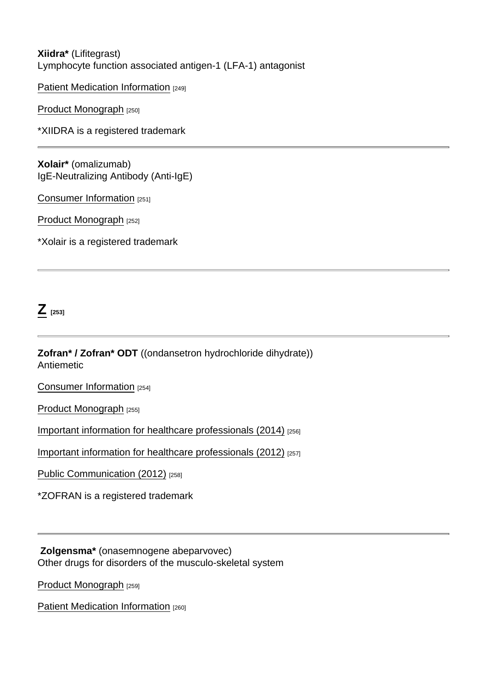#### Xiidra\* (Lifitegrast) Lymphocyte function associated antigen-1 (LFA-1) antagonist

[Patient Medication Information](https://www.ask.novartispharma.ca/download.htm?res=xiidra_patient_e.pdf&resTitleId=1622) [249]

[Product Monograph](https://www.ask.novartispharma.ca/download.htm?res=xiidra_scrip_e.pdf&resTitleId=1623) [250]

\*XIIDRA is a registered trademark

Xolair\* (omalizumab) IgE-Neutralizing Antibody (Anti-IgE)

[Consumer Information](https://www.ask.novartispharma.ca/download.htm?res=xolair_patient_e.pdf&resTitleId=217) [251]

[Product Monograph](https://www.ask.novartispharma.ca/download.htm?res=xolair_scrip_e.pdf&resTitleId=800) [252]

\*Xolair is a registered trademark

 $Z$  [253]

Zofran\* / Zofran\* ODT ((ondansetron hydrochloride dihydrate)) **Antiemetic** 

[Consumer Information](https://www.ask.novartispharma.ca/download.htm?res=zofran_patient_e.pdf&resTitleId=1113) [254]

[Product Monograph](https://www.ask.novartispharma.ca/download.htm?res=zofran_scrip_e.pdf&resTitleId=1114) [255]

[Important information for healthcare professionals \(2014\)](https://www.ask.novartispharma.ca/download.htm?res=zofran_dhcp_juin2014_f.pdf&resTitleId=1116) [256]

[Important information for healthcare professionals \(2012\)](https://www.ask.novartispharma.ca/download.htm?res=zofran_dhcp_oct2012_e.pdf&resTitleId=1115) [257]

[Public Communication \(2012\)](https://www.ask.novartispharma.ca/download.htm?res=zofran_pc_oct2012_e.pdf&resTitleId=1118) [258]

\*ZOFRAN is a registered trademark

 Zolgensma\* (onasemnogene abeparvovec) Other drugs for disorders of the musculo-skeletal system

[Product Monograph](https://prod.novartis.ca/sites/www.novartis.ca/files/zolgensma_scrip_e.pdf) [259]

[Patient Medication Information](https://www.ask.novartispharma.ca/download.htm?res=zolgensma_patient_e.pdf&resTitleId=1748) [260]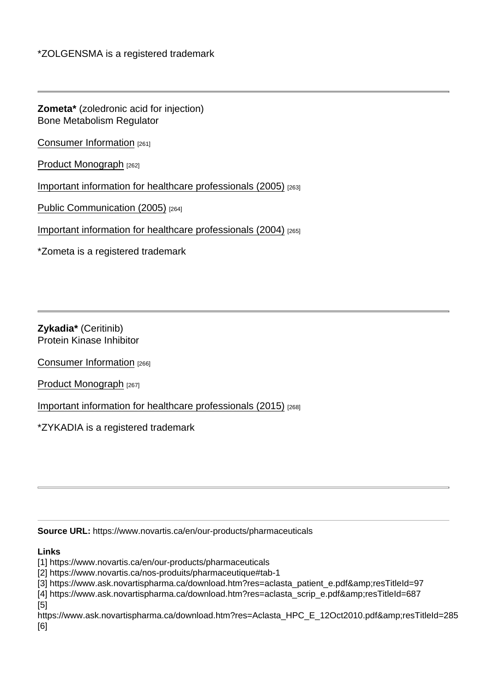Zometa\* (zoledronic acid for injection) Bone Metabolism Regulator

[Consumer Information](https://www.ask.novartispharma.ca/download.htm?res=zometa_patient_e.pdf&resTitleId=222) [261]

[Product Monograph](https://www.ask.novartispharma.ca/download.htm?res=zometa_scrip_e.pdf&resTitleId=749) [262]

[Important information for healthcare professionals \(2005\)](http://www.ask.novartispharma.ca/download.htm?res=Zometa_Aclasta DHCP_E_2005_Aug.pdf&resTitleId=282) [263]

[Public Communication \(2005\)](https://www.ask.novartispharma.ca/download.htm?res=Zometa_Aclasta_PC_E_2005_Aug.pdf&resTitleId=283) [264]

[Important information for healthcare professionals \(2004\)](https://www.ask.novartispharma.ca/download.htm?res=Aredia_Zometa_DHCP_E_2004_Nov.pdf&resTitleId=284) [265]

\*Zometa is a registered trademark

Zykadia\* (Ceritinib) Protein Kinase Inhibitor

[Consumer Information](https://www.ask.novartispharma.ca/download.htm?res=zykadia_patient_e.pdf&resTitleId=1129) [266]

[Product Monograph](https://www.ask.novartispharma.ca/download.htm?res=zykadia_scrip_e.pdf&resTitleId=1130) [267]

[Important information for healthcare professionals \(2015\)](https://www.ask.novartispharma.ca/download.htm?res=Zykadia_HCP_E_23Mar2015.pdf&resTitleId=1131) [268]

\*ZYKADIA is a registered trademark

Source URL: https://www.novartis.ca/en/our-products/pharmaceuticals

Links

[1] https://www.novartis.ca/en/our-products/pharmaceuticals

[2] https://www.novartis.ca/nos-produits/pharmaceutique#tab-1

[3] https://www.ask.novartispharma.ca/download.htm?res=aclasta\_patient\_e.pdf&resTitleId=97

[4] https://www.ask.novartispharma.ca/download.htm?res=aclasta\_scrip\_e.pdf&resTitleId=687 [5]

https://www.ask.novartispharma.ca/download.htm?res=Aclasta\_HPC\_E\_12Oct2010.pdf&resTitleId=285 [6]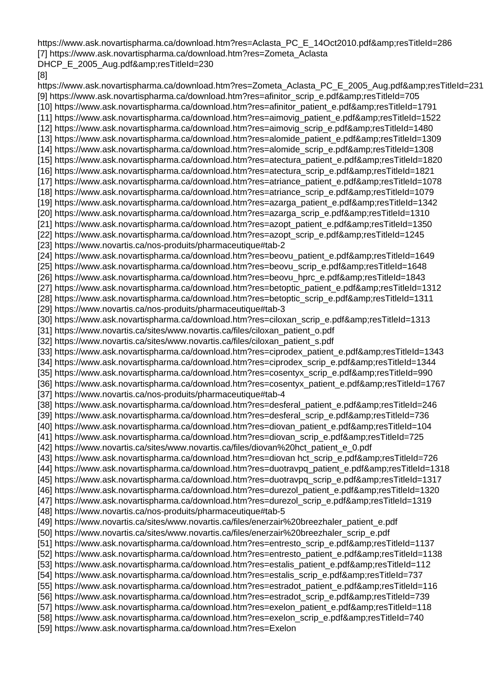https://www.ask.novartispharma.ca/download.htm?res=Aclasta\_PC\_E\_14Oct2010.pdf&amp:resTitleId=286 [7] https://www.ask.novartispharma.ca/download.htm?res=Zometa\_Aclasta DHCP\_E\_2005\_Aug.pdf&resTitleId=230

#### [8]

https://www.ask.novartispharma.ca/download.htm?res=Zometa Aclasta PC E 2005 Aug.pdf&amp:resTitleId=231 [9] https://www.ask.novartispharma.ca/download.htm?res=afinitor\_scrip\_e.pdf&resTitleId=705 [10] https://www.ask.novartispharma.ca/download.htm?res=afinitor\_patient\_e.pdf&resTitleId=1791 [11] https://www.ask.novartispharma.ca/download.htm?res=aimovig\_patient\_e.pdf&resTitleId=1522 [12] https://www.ask.novartispharma.ca/download.htm?res=aimovig\_scrip\_e.pdf&resTitleId=1480 [13] https://www.ask.novartispharma.ca/download.htm?res=alomide\_patient\_e.pdf&resTitleId=1309 [14] https://www.ask.novartispharma.ca/download.htm?res=alomide\_scrip\_e.pdf&resTitleId=1308 [15] https://www.ask.novartispharma.ca/download.htm?res=atectura\_patient\_e.pdf&resTitleId=1820 [16] https://www.ask.novartispharma.ca/download.htm?res=atectura\_scrip\_e.pdf&resTitleId=1821 [17] https://www.ask.novartispharma.ca/download.htm?res=atriance\_patient\_e.pdf&resTitleId=1078 [18] https://www.ask.novartispharma.ca/download.htm?res=atriance\_scrip\_e.pdf&resTitleId=1079 [19] https://www.ask.novartispharma.ca/download.htm?res=azarga\_patient\_e.pdf&resTitleId=1342 [20] https://www.ask.novartispharma.ca/download.htm?res=azarga\_scrip\_e.pdf&resTitleId=1310 [21] https://www.ask.novartispharma.ca/download.htm?res=azopt\_patient\_e.pdf&resTitleId=1350 [22] https://www.ask.novartispharma.ca/download.htm?res=azopt\_scrip\_e.pdf&resTitleId=1245 [23] https://www.novartis.ca/nos-produits/pharmaceutique#tab-2 [24] https://www.ask.novartispharma.ca/download.htm?res=beovu\_patient\_e.pdf&resTitleId=1649 [25] https://www.ask.novartispharma.ca/download.htm?res=beovu\_scrip\_e.pdf&resTitleId=1648 [26] https://www.ask.novartispharma.ca/download.htm?res=beovu\_hprc\_e.pdf&resTitleId=1843 [27] https://www.ask.novartispharma.ca/download.htm?res=betoptic\_patient\_e.pdf&resTitleId=1312 [28] https://www.ask.novartispharma.ca/download.htm?res=betoptic\_scrip\_e.pdf&resTitleId=1311 [29] https://www.novartis.ca/nos-produits/pharmaceutique#tab-3 [30] https://www.ask.novartispharma.ca/download.htm?res=ciloxan\_scrip\_e.pdf&resTitleId=1313 [31] https://www.novartis.ca/sites/www.novartis.ca/files/ciloxan\_patient\_o.pdf [32] https://www.novartis.ca/sites/www.novartis.ca/files/ciloxan\_patient\_s.pdf [33] https://www.ask.novartispharma.ca/download.htm?res=ciprodex\_patient\_e.pdf&resTitleId=1343 [34] https://www.ask.novartispharma.ca/download.htm?res=ciprodex\_scrip\_e.pdf&resTitleId=1344 [35] https://www.ask.novartispharma.ca/download.htm?res=cosentyx\_scrip\_e.pdf&resTitleId=990 [36] https://www.ask.novartispharma.ca/download.htm?res=cosentyx\_patient\_e.pdf&resTitleId=1767 [37] https://www.novartis.ca/nos-produits/pharmaceutique#tab-4 [38] https://www.ask.novartispharma.ca/download.htm?res=desferal\_patient\_e.pdf&resTitleId=246 [39] https://www.ask.novartispharma.ca/download.htm?res=desferal\_scrip\_e.pdf&resTitleId=736 [40] https://www.ask.novartispharma.ca/download.htm?res=diovan\_patient\_e.pdf&resTitleId=104 [41] https://www.ask.novartispharma.ca/download.htm?res=diovan\_scrip\_e.pdf&resTitleId=725 [42] https://www.novartis.ca/sites/www.novartis.ca/files/diovan%20hct\_patient\_e\_0.pdf [43] https://www.ask.novartispharma.ca/download.htm?res=diovan hct\_scrip\_e.pdf&resTitleId=726 [44] https://www.ask.novartispharma.ca/download.htm?res=duotravpq\_patient\_e.pdf&resTitleId=1318 [45] https://www.ask.novartispharma.ca/download.htm?res=duotravpq\_scrip\_e.pdf&resTitleId=1317 [46] https://www.ask.novartispharma.ca/download.htm?res=durezol\_patient\_e.pdf&resTitleId=1320 [47] https://www.ask.novartispharma.ca/download.htm?res=durezol\_scrip\_e.pdf&resTitleId=1319 [48] https://www.novartis.ca/nos-produits/pharmaceutique#tab-5 [49] https://www.novartis.ca/sites/www.novartis.ca/files/enerzair%20breezhaler\_patient\_e.pdf [50] https://www.novartis.ca/sites/www.novartis.ca/files/enerzair%20breezhaler\_scrip\_e.pdf [51] https://www.ask.novartispharma.ca/download.htm?res=entresto\_scrip\_e.pdf&resTitleId=1137 [52] https://www.ask.novartispharma.ca/download.htm?res=entresto\_patient\_e.pdf&resTitleId=1138 [53] https://www.ask.novartispharma.ca/download.htm?res=estalis\_patient\_e.pdf&resTitleId=112 [54] https://www.ask.novartispharma.ca/download.htm?res=estalis\_scrip\_e.pdf&resTitleId=737 [55] https://www.ask.novartispharma.ca/download.htm?res=estradot\_patient\_e.pdf&resTitleId=116 [56] https://www.ask.novartispharma.ca/download.htm?res=estradot\_scrip\_e.pdf&resTitleId=739 [57] https://www.ask.novartispharma.ca/download.htm?res=exelon\_patient\_e.pdf&resTitleId=118 [58] https://www.ask.novartispharma.ca/download.htm?res=exelon\_scrip\_e.pdf&resTitleId=740 [59] https://www.ask.novartispharma.ca/download.htm?res=Exelon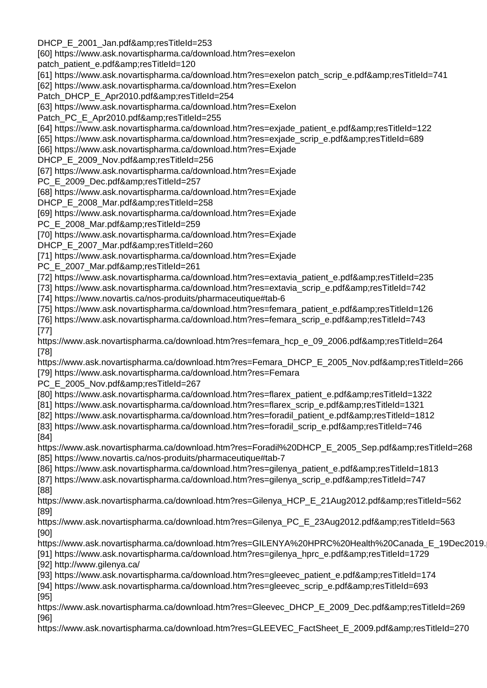DHCP\_E\_2001\_Jan.pdf&amp:resTitleId=253

[60] https://www.ask.novartispharma.ca/download.htm?res=exelon

patch\_patient\_e.pdf&resTitleId=120

[61] https://www.ask.novartispharma.ca/download.htm?res=exelon patch\_scrip\_e.pdf&resTitleId=741 [62] https://www.ask.novartispharma.ca/download.htm?res=Exelon

Patch\_DHCP\_E\_Apr2010.pdf&resTitleId=254

[63] https://www.ask.novartispharma.ca/download.htm?res=Exelon

Patch\_PC\_E\_Apr2010.pdf&amp:resTitleId=255

[64] https://www.ask.novartispharma.ca/download.htm?res=exjade\_patient\_e.pdf&resTitleId=122

[65] https://www.ask.novartispharma.ca/download.htm?res=exjade\_scrip\_e.pdf&resTitleId=689

[66] https://www.ask.novartispharma.ca/download.htm?res=Exjade

DHCP\_E\_2009\_Nov.pdf&resTitleId=256

[67] https://www.ask.novartispharma.ca/download.htm?res=Exjade

PC\_E\_2009\_Dec.pdf&resTitleId=257

[68] https://www.ask.novartispharma.ca/download.htm?res=Exjade

DHCP\_E\_2008\_Mar.pdf&resTitleId=258

[69] https://www.ask.novartispharma.ca/download.htm?res=Exjade

PC E 2008 Mar.pdf&resTitleId=259

[70] https://www.ask.novartispharma.ca/download.htm?res=Exjade

DHCP\_E\_2007\_Mar.pdf&resTitleId=260

[71] https://www.ask.novartispharma.ca/download.htm?res=Exjade

PC\_E\_2007\_Mar.pdf&resTitleId=261

[72] https://www.ask.novartispharma.ca/download.htm?res=extavia\_patient\_e.pdf&resTitleId=235

[73] https://www.ask.novartispharma.ca/download.htm?res=extavia\_scrip\_e.pdf&amp:resTitleId=742

[74] https://www.novartis.ca/nos-produits/pharmaceutique#tab-6

[75] https://www.ask.novartispharma.ca/download.htm?res=femara\_patient\_e.pdf&resTitleId=126

[76] https://www.ask.novartispharma.ca/download.htm?res=femara\_scrip\_e.pdf&resTitleId=743 [77]

https://www.ask.novartispharma.ca/download.htm?res=femara\_hcp\_e\_09\_2006.pdf&resTitleId=264 [78]

https://www.ask.novartispharma.ca/download.htm?res=Femara\_DHCP\_E\_2005\_Nov.pdf&resTitleId=266 [79] https://www.ask.novartispharma.ca/download.htm?res=Femara

PC\_E\_2005\_Nov.pdf&resTitleId=267

[80] https://www.ask.novartispharma.ca/download.htm?res=flarex\_patient\_e.pdf&resTitleId=1322

[81] https://www.ask.novartispharma.ca/download.htm?res=flarex\_scrip\_e.pdf&resTitleId=1321

[82] https://www.ask.novartispharma.ca/download.htm?res=foradil\_patient\_e.pdf&resTitleId=1812

[83] https://www.ask.novartispharma.ca/download.htm?res=foradil\_scrip\_e.pdf&resTitleId=746 [84]

https://www.ask.novartispharma.ca/download.htm?res=Foradil%20DHCP\_E\_2005\_Sep.pdf&resTitleId=268 [85] https://www.novartis.ca/nos-produits/pharmaceutique#tab-7

[86] https://www.ask.novartispharma.ca/download.htm?res=gilenya\_patient\_e.pdf&resTitleId=1813

[87] https://www.ask.novartispharma.ca/download.htm?res=gilenya\_scrip\_e.pdf&resTitleId=747 [88]

https://www.ask.novartispharma.ca/download.htm?res=Gilenya\_HCP\_E\_21Aug2012.pdf&resTitleId=562 [89]

https://www.ask.novartispharma.ca/download.htm?res=Gilenya\_PC\_E\_23Aug2012.pdf&resTitleId=563 [90]

https://www.ask.novartispharma.ca/download.htm?res=GILENYA%20HPRC%20Health%20Canada\_E\_19Dec2019.

[91] https://www.ask.novartispharma.ca/download.htm?res=gilenya\_hprc\_e.pdf&resTitleId=1729 [92] http://www.gilenya.ca/

[93] https://www.ask.novartispharma.ca/download.htm?res=gleevec\_patient\_e.pdf&resTitleId=174

[94] https://www.ask.novartispharma.ca/download.htm?res=gleevec\_scrip\_e.pdf&resTitleId=693

[95]

https://www.ask.novartispharma.ca/download.htm?res=Gleevec\_DHCP\_E\_2009\_Dec.pdf&resTitleId=269 [96]

https://www.ask.novartispharma.ca/download.htm?res=GLEEVEC\_FactSheet\_E\_2009.pdf&resTitleId=270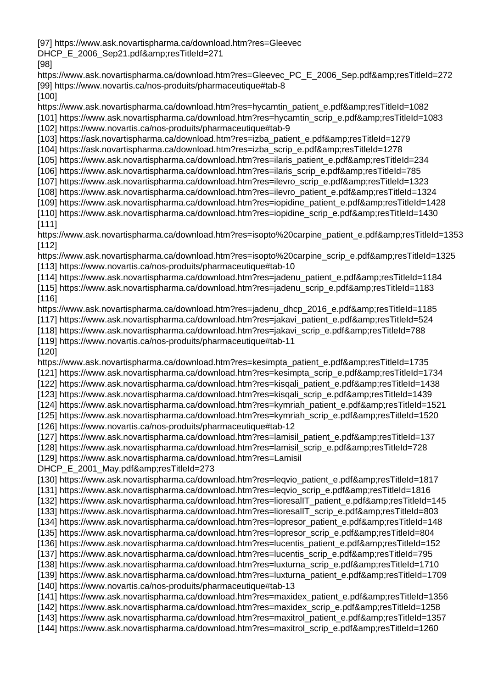[97] https://www.ask.novartispharma.ca/download.htm?res=Gleevec

DHCP\_E\_2006\_Sep21.pdf&resTitleId=271

[98]

https://www.ask.novartispharma.ca/download.htm?res=Gleevec\_PC\_E\_2006\_Sep.pdf&resTitleId=272 [99] https://www.novartis.ca/nos-produits/pharmaceutique#tab-8

[100]

https://www.ask.novartispharma.ca/download.htm?res=hycamtin\_patient\_e.pdf&resTitleId=1082 [101] https://www.ask.novartispharma.ca/download.htm?res=hycamtin\_scrip\_e.pdf&resTitleId=1083 [102] https://www.novartis.ca/nos-produits/pharmaceutique#tab-9

[103] https://ask.novartispharma.ca/download.htm?res=izba\_patient\_e.pdf&resTitleId=1279

[104] https://ask.novartispharma.ca/download.htm?res=izba\_scrip\_e.pdf&resTitleId=1278

[105] https://www.ask.novartispharma.ca/download.htm?res=ilaris\_patient\_e.pdf&resTitleId=234

[106] https://www.ask.novartispharma.ca/download.htm?res=ilaris\_scrip\_e.pdf&resTitleId=785

- [107] https://www.ask.novartispharma.ca/download.htm?res=ilevro\_scrip\_e.pdf&resTitleId=1323
- [108] https://www.ask.novartispharma.ca/download.htm?res=ilevro\_patient\_e.pdf&resTitleId=1324
- [109] https://www.ask.novartispharma.ca/download.htm?res=iopidine\_patient\_e.pdf&resTitleId=1428 [110] https://www.ask.novartispharma.ca/download.htm?res=iopidine\_scrip\_e.pdf&resTitleId=1430

[111]

https://www.ask.novartispharma.ca/download.htm?res=isopto%20carpine\_patient\_e.pdf&resTitleId=1353 [112]

https://www.ask.novartispharma.ca/download.htm?res=isopto%20carpine\_scrip\_e.pdf&amp:resTitleId=1325 [113] https://www.novartis.ca/nos-produits/pharmaceutique#tab-10

[114] https://www.ask.novartispharma.ca/download.htm?res=jadenu\_patient\_e.pdf&resTitleId=1184 [115] https://www.ask.novartispharma.ca/download.htm?res=jadenu\_scrip\_e.pdf&resTitleId=1183 [116]

https://www.ask.novartispharma.ca/download.htm?res=jadenu\_dhcp\_2016\_e.pdf&amp:resTitleId=1185 [117] https://www.ask.novartispharma.ca/download.htm?res=jakavi\_patient\_e.pdf&resTitleId=524 [118] https://www.ask.novartispharma.ca/download.htm?res=jakavi\_scrip\_e.pdf&resTitleId=788

[119] https://www.novartis.ca/nos-produits/pharmaceutique#tab-11

[120]

https://www.ask.novartispharma.ca/download.htm?res=kesimpta\_patient\_e.pdf&resTitleId=1735 [121] https://www.ask.novartispharma.ca/download.htm?res=kesimpta\_scrip\_e.pdf&resTitleId=1734 [122] https://www.ask.novartispharma.ca/download.htm?res=kisqali\_patient\_e.pdf&resTitleId=1438 [123] https://www.ask.novartispharma.ca/download.htm?res=kisqali\_scrip\_e.pdf&resTitleId=1439 [124] https://www.ask.novartispharma.ca/download.htm?res=kymriah\_patient\_e.pdf&resTitleId=1521 [125] https://www.ask.novartispharma.ca/download.htm?res=kymriah\_scrip\_e.pdf&resTitleId=1520 [126] https://www.novartis.ca/nos-produits/pharmaceutique#tab-12 [127] https://www.ask.novartispharma.ca/download.htm?res=lamisil\_patient\_e.pdf&resTitleId=137 [128] https://www.ask.novartispharma.ca/download.htm?res=lamisil\_scrip\_e.pdf&resTitleId=728 [129] https://www.ask.novartispharma.ca/download.htm?res=Lamisil DHCP\_E\_2001\_May.pdf&resTitleId=273 [130] https://www.ask.novartispharma.ca/download.htm?res=leqvio\_patient\_e.pdf&resTitleId=1817 [131] https://www.ask.novartispharma.ca/download.htm?res=leqvio\_scrip\_e.pdf&resTitleId=1816 [132] https://www.ask.novartispharma.ca/download.htm?res=lioresalIT\_patient\_e.pdf&resTitleId=145 [133] https://www.ask.novartispharma.ca/download.htm?res=lioresalIT\_scrip\_e.pdf&resTitleId=803 [134] https://www.ask.novartispharma.ca/download.htm?res=lopresor\_patient\_e.pdf&resTitleId=148 [135] https://www.ask.novartispharma.ca/download.htm?res=lopresor\_scrip\_e.pdf&resTitleId=804

[136] https://www.ask.novartispharma.ca/download.htm?res=lucentis\_patient\_e.pdf&resTitleId=152

[137] https://www.ask.novartispharma.ca/download.htm?res=lucentis\_scrip\_e.pdf&resTitleId=795

[138] https://www.ask.novartispharma.ca/download.htm?res=luxturna\_scrip\_e.pdf&resTitleId=1710 [139] https://www.ask.novartispharma.ca/download.htm?res=luxturna\_patient\_e.pdf&resTitleId=1709

[140] https://www.novartis.ca/nos-produits/pharmaceutique#tab-13

[141] https://www.ask.novartispharma.ca/download.htm?res=maxidex\_patient\_e.pdf&amp:resTitleId=1356

[142] https://www.ask.novartispharma.ca/download.htm?res=maxidex\_scrip\_e.pdf&resTitleId=1258

[143] https://www.ask.novartispharma.ca/download.htm?res=maxitrol\_patient\_e.pdf&resTitleId=1357 [144] https://www.ask.novartispharma.ca/download.htm?res=maxitrol\_scrip\_e.pdf&resTitleId=1260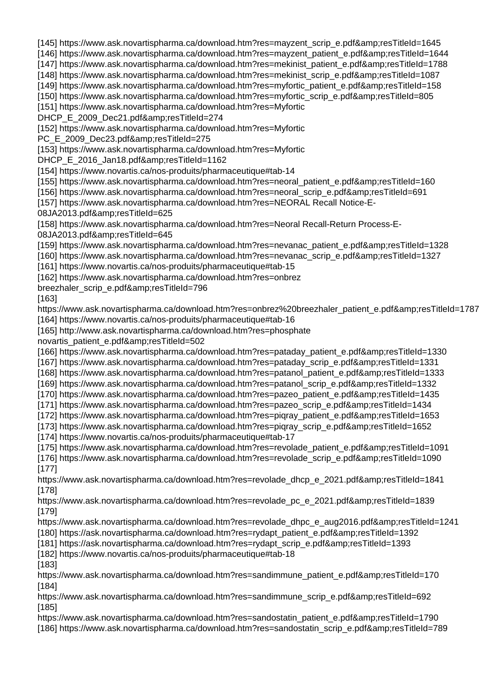[145] https://www.ask.novartispharma.ca/download.htm?res=mayzent\_scrip\_e.pdf&resTitleId=1645

[146] https://www.ask.novartispharma.ca/download.htm?res=mayzent\_patient\_e.pdf&resTitleId=1644

[147] https://www.ask.novartispharma.ca/download.htm?res=mekinist\_patient\_e.pdf&resTitleId=1788

[148] https://www.ask.novartispharma.ca/download.htm?res=mekinist\_scrip\_e.pdf&resTitleId=1087

[149] https://www.ask.novartispharma.ca/download.htm?res=myfortic\_patient\_e.pdf&amp:resTitleId=158 [150] https://www.ask.novartispharma.ca/download.htm?res=myfortic\_scrip\_e.pdf&resTitleId=805

[151] https://www.ask.novartispharma.ca/download.htm?res=Myfortic

DHCP\_E\_2009\_Dec21.pdf&resTitleId=274

[152] https://www.ask.novartispharma.ca/download.htm?res=Myfortic

PC\_E\_2009\_Dec23.pdf&resTitleId=275

[153] https://www.ask.novartispharma.ca/download.htm?res=Myfortic

DHCP\_E\_2016\_Jan18.pdf&resTitleId=1162

[154] https://www.novartis.ca/nos-produits/pharmaceutique#tab-14

[155] https://www.ask.novartispharma.ca/download.htm?res=neoral\_patient\_e.pdf&resTitleId=160

[156] https://www.ask.novartispharma.ca/download.htm?res=neoral\_scrip\_e.pdf&resTitleId=691

[157] https://www.ask.novartispharma.ca/download.htm?res=NEORAL Recall Notice-E-

08JA2013.pdf&amp:resTitleId=625

[158] https://www.ask.novartispharma.ca/download.htm?res=Neoral Recall-Return Process-E-08JA2013.pdf&resTitleId=645

[159] https://www.ask.novartispharma.ca/download.htm?res=nevanac\_patient\_e.pdf&resTitleId=1328

[160] https://www.ask.novartispharma.ca/download.htm?res=nevanac\_scrip\_e.pdf&resTitleId=1327

[161] https://www.novartis.ca/nos-produits/pharmaceutique#tab-15

[162] https://www.ask.novartispharma.ca/download.htm?res=onbrez

breezhaler\_scrip\_e.pdf&resTitleId=796

[163]

https://www.ask.novartispharma.ca/download.htm?res=onbrez%20breezhaler\_patient\_e.pdf&resTitleId=1787 [164] https://www.novartis.ca/nos-produits/pharmaceutique#tab-16

[165] http://www.ask.novartispharma.ca/download.htm?res=phosphate

novartis\_patient\_e.pdf&resTitleId=502

[166] https://www.ask.novartispharma.ca/download.htm?res=pataday\_patient\_e.pdf&resTitleId=1330

[167] https://www.ask.novartispharma.ca/download.htm?res=pataday\_scrip\_e.pdf&resTitleId=1331

[168] https://www.ask.novartispharma.ca/download.htm?res=patanol\_patient\_e.pdf&resTitleId=1333

[169] https://www.ask.novartispharma.ca/download.htm?res=patanol\_scrip\_e.pdf&resTitleId=1332

[170] https://www.ask.novartispharma.ca/download.htm?res=pazeo\_patient\_e.pdf&resTitleId=1435 [171] https://www.ask.novartispharma.ca/download.htm?res=pazeo\_scrip\_e.pdf&resTitleId=1434

[172] https://www.ask.novartispharma.ca/download.htm?res=piqray\_patient\_e.pdf&resTitleId=1653

[173] https://www.ask.novartispharma.ca/download.htm?res=piqray\_scrip\_e.pdf&resTitleId=1652

[174] https://www.novartis.ca/nos-produits/pharmaceutique#tab-17

[175] https://www.ask.novartispharma.ca/download.htm?res=revolade\_patient\_e.pdf&resTitleId=1091 [176] https://www.ask.novartispharma.ca/download.htm?res=revolade\_scrip\_e.pdf&resTitleId=1090 [177]

https://www.ask.novartispharma.ca/download.htm?res=revolade\_dhcp\_e\_2021.pdf&resTitleId=1841 [178]

https://www.ask.novartispharma.ca/download.htm?res=revolade\_pc\_e\_2021.pdf&resTitleId=1839 [179]

https://www.ask.novartispharma.ca/download.htm?res=revolade\_dhpc\_e\_aug2016.pdf&resTitleId=1241

[180] https://ask.novartispharma.ca/download.htm?res=rydapt\_patient\_e.pdf&resTitleId=1392

[181] https://ask.novartispharma.ca/download.htm?res=rydapt\_scrip\_e.pdf&resTitleId=1393 [182] https://www.novartis.ca/nos-produits/pharmaceutique#tab-18

[183]

https://www.ask.novartispharma.ca/download.htm?res=sandimmune\_patient\_e.pdf&resTitleId=170 [184]

https://www.ask.novartispharma.ca/download.htm?res=sandimmune\_scrip\_e.pdf&amp:resTitleId=692 [185]

https://www.ask.novartispharma.ca/download.htm?res=sandostatin\_patient\_e.pdf&resTitleId=1790 [186] https://www.ask.novartispharma.ca/download.htm?res=sandostatin\_scrip\_e.pdf&resTitleId=789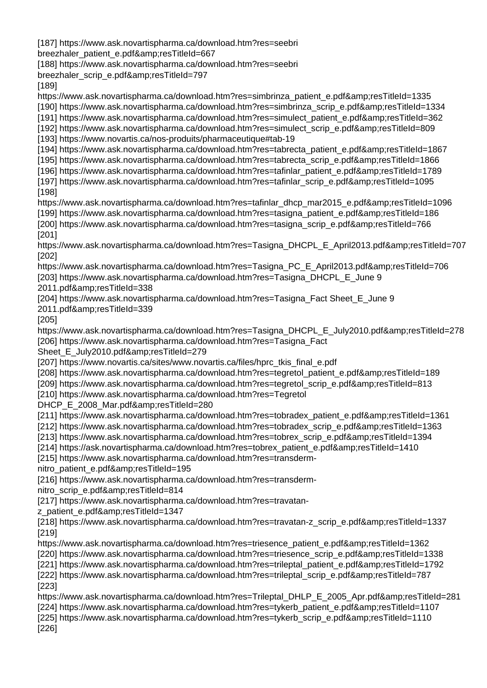[187] https://www.ask.novartispharma.ca/download.htm?res=seebri

breezhaler\_patient\_e.pdf&resTitleId=667

[188] https://www.ask.novartispharma.ca/download.htm?res=seebri

breezhaler\_scrip\_e.pdf&resTitleId=797

[189]

https://www.ask.novartispharma.ca/download.htm?res=simbrinza\_patient\_e.pdf&amp:resTitleId=1335

[190] https://www.ask.novartispharma.ca/download.htm?res=simbrinza\_scrip\_e.pdf&resTitleId=1334

[191] https://www.ask.novartispharma.ca/download.htm?res=simulect\_patient\_e.pdf&resTitleId=362 [192] https://www.ask.novartispharma.ca/download.htm?res=simulect\_scrip\_e.pdf&resTitleId=809

[193] https://www.novartis.ca/nos-produits/pharmaceutique#tab-19

[194] https://www.ask.novartispharma.ca/download.htm?res=tabrecta\_patient\_e.pdf&resTitleId=1867

[195] https://www.ask.novartispharma.ca/download.htm?res=tabrecta\_scrip\_e.pdf&resTitleId=1866

[196] https://www.ask.novartispharma.ca/download.htm?res=tafinlar\_patient\_e.pdf&resTitleId=1789 [197] https://www.ask.novartispharma.ca/download.htm?res=tafinlar\_scrip\_e.pdf&resTitleId=1095

[198]

https://www.ask.novartispharma.ca/download.htm?res=tafinlar\_dhcp\_mar2015\_e.pdf&resTitleId=1096 [199] https://www.ask.novartispharma.ca/download.htm?res=tasigna\_patient\_e.pdf&resTitleId=186 [200] https://www.ask.novartispharma.ca/download.htm?res=tasigna\_scrip\_e.pdf&resTitleId=766

[201]

https://www.ask.novartispharma.ca/download.htm?res=Tasigna\_DHCPL\_E\_April2013.pdf&resTitleId=707 [202]

https://www.ask.novartispharma.ca/download.htm?res=Tasigna\_PC\_E\_April2013.pdf&resTitleId=706 [203] https://www.ask.novartispharma.ca/download.htm?res=Tasigna\_DHCPL\_E\_June 9

2011.pdf&resTitleId=338

[204] https://www.ask.novartispharma.ca/download.htm?res=Tasigna\_Fact Sheet\_E\_June 9

2011.pdf&resTitleId=339

[205]

https://www.ask.novartispharma.ca/download.htm?res=Tasigna\_DHCPL\_E\_July2010.pdf&resTitleId=278 [206] https://www.ask.novartispharma.ca/download.htm?res=Tasigna\_Fact

Sheet\_E\_July2010.pdf&resTitleId=279

[207] https://www.novartis.ca/sites/www.novartis.ca/files/hprc\_tkis\_final\_e.pdf

[208] https://www.ask.novartispharma.ca/download.htm?res=tegretol\_patient\_e.pdf&amp:resTitleId=189

[209] https://www.ask.novartispharma.ca/download.htm?res=tegretol\_scrip\_e.pdf&resTitleId=813

[210] https://www.ask.novartispharma.ca/download.htm?res=Tegretol

DHCP\_E\_2008\_Mar.pdf&resTitleId=280

[211] https://www.ask.novartispharma.ca/download.htm?res=tobradex\_patient\_e.pdf&resTitleId=1361

[212] https://www.ask.novartispharma.ca/download.htm?res=tobradex\_scrip\_e.pdf&resTitleId=1363

[213] https://www.ask.novartispharma.ca/download.htm?res=tobrex\_scrip\_e.pdf&resTitleId=1394

[214] https://ask.novartispharma.ca/download.htm?res=tobrex\_patient\_e.pdf&resTitleId=1410

[215] https://www.ask.novartispharma.ca/download.htm?res=transderm-

nitro\_patient\_e.pdf&resTitleId=195

[216] https://www.ask.novartispharma.ca/download.htm?res=transderm-

nitro\_scrip\_e.pdf&resTitleId=814

[217] https://www.ask.novartispharma.ca/download.htm?res=travatan-

z\_patient\_e.pdf&resTitleId=1347

[218] https://www.ask.novartispharma.ca/download.htm?res=travatan-z\_scrip\_e.pdf&resTitleId=1337 [219]

https://www.ask.novartispharma.ca/download.htm?res=triesence\_patient\_e.pdf&resTitleId=1362

[220] https://www.ask.novartispharma.ca/download.htm?res=triesence\_scrip\_e.pdf&resTitleId=1338 [221] https://www.ask.novartispharma.ca/download.htm?res=trileptal\_patient\_e.pdf&resTitleId=1792 [222] https://www.ask.novartispharma.ca/download.htm?res=trileptal\_scrip\_e.pdf&resTitleId=787

[223] https://www.ask.novartispharma.ca/download.htm?res=Trileptal\_DHLP\_E\_2005\_Apr.pdf&amp:resTitleId=281 [224] https://www.ask.novartispharma.ca/download.htm?res=tykerb\_patient\_e.pdf&resTitleId=1107 [225] https://www.ask.novartispharma.ca/download.htm?res=tykerb\_scrip\_e.pdf&resTitleId=1110

[226]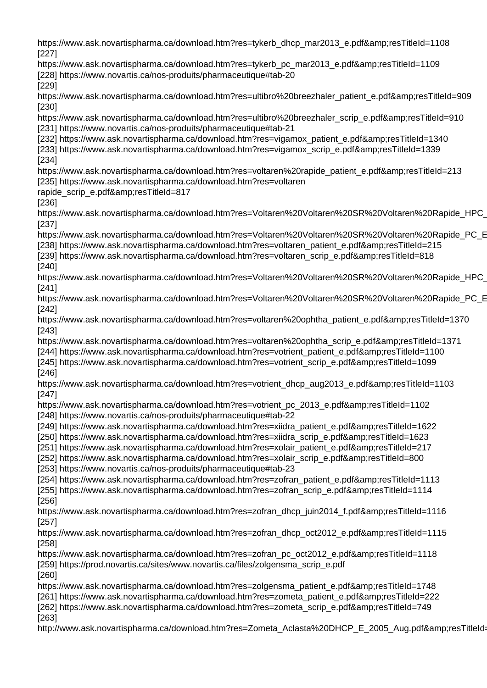https://www.ask.novartispharma.ca/download.htm?res=tykerb\_dhcp\_mar2013\_e.pdf&amp:resTitleId=1108 [227] https://www.ask.novartispharma.ca/download.htm?res=tykerb\_pc\_mar2013\_e.pdf&resTitleId=1109 [228] https://www.novartis.ca/nos-produits/pharmaceutique#tab-20 [229] https://www.ask.novartispharma.ca/download.htm?res=ultibro%20breezhaler\_patient\_e.pdf&amp:resTitleId=909 [230] https://www.ask.novartispharma.ca/download.htm?res=ultibro%20breezhaler\_scrip\_e.pdf&resTitleId=910 [231] https://www.novartis.ca/nos-produits/pharmaceutique#tab-21 [232] https://www.ask.novartispharma.ca/download.htm?res=vigamox\_patient\_e.pdf&resTitleId=1340 [233] https://www.ask.novartispharma.ca/download.htm?res=vigamox\_scrip\_e.pdf&amp:resTitleId=1339 [234] https://www.ask.novartispharma.ca/download.htm?res=voltaren%20rapide\_patient\_e.pdf&resTitleId=213 [235] https://www.ask.novartispharma.ca/download.htm?res=voltaren rapide\_scrip\_e.pdf&resTitleId=817 [236] https://www.ask.novartispharma.ca/download.htm?res=Voltaren%20Voltaren%20SR%20Voltaren%20Rapide\_HPC\_ [237] https://www.ask.novartispharma.ca/download.htm?res=Voltaren%20Voltaren%20SR%20Voltaren%20Rapide\_PC\_E [238] https://www.ask.novartispharma.ca/download.htm?res=voltaren\_patient\_e.pdf&resTitleId=215 [239] https://www.ask.novartispharma.ca/download.htm?res=voltaren\_scrip\_e.pdf&resTitleId=818 [240] https://www.ask.novartispharma.ca/download.htm?res=Voltaren%20Voltaren%20SR%20Voltaren%20Rapide\_HPC [241] https://www.ask.novartispharma.ca/download.htm?res=Voltaren%20Voltaren%20SR%20Voltaren%20Rapide\_PC\_E [242] https://www.ask.novartispharma.ca/download.htm?res=voltaren%20ophtha\_patient\_e.pdf&resTitleId=1370 [243] https://www.ask.novartispharma.ca/download.htm?res=voltaren%20ophtha\_scrip\_e.pdf&resTitleId=1371 [244] https://www.ask.novartispharma.ca/download.htm?res=votrient\_patient\_e.pdf&resTitleId=1100 [245] https://www.ask.novartispharma.ca/download.htm?res=votrient\_scrip\_e.pdf&resTitleId=1099 [246] https://www.ask.novartispharma.ca/download.htm?res=votrient\_dhcp\_aug2013\_e.pdf&resTitleId=1103 [247] https://www.ask.novartispharma.ca/download.htm?res=votrient\_pc\_2013\_e.pdf&resTitleId=1102 [248] https://www.novartis.ca/nos-produits/pharmaceutique#tab-22 [249] https://www.ask.novartispharma.ca/download.htm?res=xiidra\_patient\_e.pdf&resTitleId=1622 [250] https://www.ask.novartispharma.ca/download.htm?res=xiidra\_scrip\_e.pdf&amp:resTitleId=1623 [251] https://www.ask.novartispharma.ca/download.htm?res=xolair\_patient\_e.pdf&resTitleId=217 [252] https://www.ask.novartispharma.ca/download.htm?res=xolair\_scrip\_e.pdf&resTitleId=800 [253] https://www.novartis.ca/nos-produits/pharmaceutique#tab-23 [254] https://www.ask.novartispharma.ca/download.htm?res=zofran\_patient\_e.pdf&resTitleId=1113 [255] https://www.ask.novartispharma.ca/download.htm?res=zofran\_scrip\_e.pdf&resTitleId=1114 [256] https://www.ask.novartispharma.ca/download.htm?res=zofran\_dhcp\_juin2014\_f.pdf&resTitleId=1116 [257] https://www.ask.novartispharma.ca/download.htm?res=zofran\_dhcp\_oct2012\_e.pdf&resTitleId=1115 [258] https://www.ask.novartispharma.ca/download.htm?res=zofran\_pc\_oct2012\_e.pdf&resTitleId=1118 [259] https://prod.novartis.ca/sites/www.novartis.ca/files/zolgensma\_scrip\_e.pdf [260] https://www.ask.novartispharma.ca/download.htm?res=zolgensma\_patient\_e.pdf&amp:resTitleId=1748 [261] https://www.ask.novartispharma.ca/download.htm?res=zometa\_patient\_e.pdf&resTitleId=222 [262] https://www.ask.novartispharma.ca/download.htm?res=zometa\_scrip\_e.pdf&resTitleId=749 [263] http://www.ask.novartispharma.ca/download.htm?res=Zometa\_Aclasta%20DHCP\_E\_2005\_Aug.pdf&resTitleId=